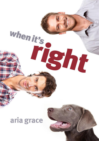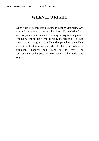## **WHEN IT'S RIGHT**

When Shane Greenly left his home in Casper Mountain, Wy, he was leaving more than just the closet. He needed a fresh start to pursue his dream of running a dog training ranch without having to deny who he really is. Meeting Alex was one of the best things that could have happened to Shane. They were at the beginning of a wonderful relationship when the unthinkable happens and Shane has to leave. The consequences of his past mistakes could not be hidden any longer.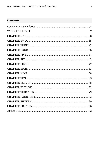## **Contents**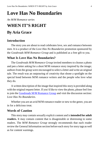## <span id="page-3-0"></span>**Love Has No Boundaries**

## *An M/M Romance series*

# **WHEN IT'S RIGHT**

## **By Aria Grace**

## **Introduction**

The story you are about to read celebrates love, sex and romance between men. It is a product of the *Love Has No Boundaries* promotion sponsored by the *Goodreads M/M Romance Group* and is published as a free gift to you.

## **What Is Love Has No Boundaries?**

The *Goodreads M/M Romance Group* invited members to choose a photo and pen a letter asking for a short M/M romance story inspired by the image; authors from the group were encouraged to select a letter and write an original tale. The result was an outpouring of creativity that shone a spotlight on the special bond between M/M romance writers and the people who love what they do.

A written description of the image that inspired this story is provided along with the original request letter. If you'd like to view the photo, please feel free to join the [Goodreads M/M Romance Group](http://www.goodreads.com/group/show/20149-m-m-romance) and visit the discussion section: *Love Has No Boundaries*.

Whether you are an avid M/M romance reader or new to the genre, you are in for a delicious treat.

## **Words of Caution**

This story may contain sexually explicit content and is **intended for adult readers.** It may contain content that is disagreeable or distressing to some readers. The *M/M Romance Group* strongly recommends that each reader review the General Information section before each story for story tags as well as for content warnings.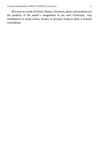This story is a work of fiction. Names, characters, places and incidents are the products of the author's imagination or are used fictitiously. Any resemblance to actual events, locales, or persons, living or dead, is entirely coincidental.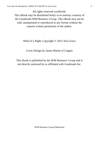All rights reserved worldwide. This eBook may be distributed freely in its entirety courtesy of the *Goodreads M/M Romance Group*. This eBook may not be sold, manipulated or reproduced in any format without the express written permission of the author.

### When It's Right, Copyright © 2013 Aria Grace

## Cover Design by James Martin of Linguis

This ebook is published by the *M/M Romance Group* and is not directly endorsed by or affiliated with Goodreads Inc.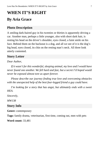## <span id="page-6-0"></span>**WHEN IT'S RIGHT By Aria Grace**

## **Photo Description**

A smiling dark-haired guy in his twenties or thirties is apparently driving a car. Another man, perhaps a little younger, also with short dark hair, is resting his head on the driver's shoulder, eyes closed, a faint smile on his face. Behind them on the backseat is a dog, and all we see of it is the dog's big head, eyes closed, its chin on the resting man's neck. All three look utterly contented.

## **Story Letter**

## *Dear Author,*

*If it wasn't for this wonderful, sleeping animal, my love and I would have never found one another. We fell hard and fast, but a secret I'd hoped would never be exposed almost tore us apart forever.*

*Please describe our journey finding true love and overcoming obstacles with the unexpected help of the best four-legged friend a guy could have.*

*I'm looking for a story that has angst, but ultimately ends with a sweet HEA.*

*Sincerely,*

*MW138*

## **Story Info**

**Genre:** contemporary

**Tags:** family drama, veterinarian, first time, coming out, men with pets

**Word count:** 33,481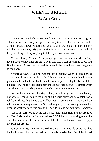## **WHEN IT'S RIGHT By Aria Grace**

#### CHAPTER ONE

#### *Alex*

<span id="page-7-0"></span>Sometimes I wish she wasn't so damn cute. Those brown eyes beg for attention, and her droopy ears get to me every time. I really can't afford to take a puppy break, but we've both been cooped up in the house for hours and my mind is mush anyway. My presentation is as good as it's going to get and if I keep tweaking it, I'm just going to talk myself out of a client.

"Okay, Stormy. You win." She jumps up at her name and starts licking my face. I have to shove her off me so I can step into a pair of running shoes and find her leash. As soon as the leash is in hand, she bites the end and drags me to the door.

"We're going, we're going. Just chill for a second." When I picked her out of the litter of twelve chocolate Labs, I thought getting the hyper female was a good idea. I wanted to be able to take her running and to play Frisbee with her on occasion. I had no idea that meant she'd never settle down. At almost a year old, she is even more hyper now than she was at two months old.

As she bounds down the steps of my small bungalow, I consider my options. We could walk to the park about a mile away and play fetch for a while. She loves that, but it is part of her regular routine with Mandy, the lady who walks her every afternoon. So, feeling guilty about having to leave her over the weekend for a business trip, I decide to take her somewhere special.

"Load up, girl. We're going for a ride." She jumps right into the front of my Pathfinder and waits for us to take off. With her tail whacking me in the arm at an alarming rate, she settles in with her head out the window and enjoys the summer breeze.

It is only a thirty minute drive to the state park just outside of Denver, but by the time we drive into the parking lot, she is fit to be tied. The high-pitched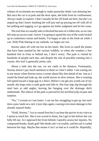whines of excitement are enough to make passersby think I am skinning her. But once the car is in park and the door open, she bolts from its confinement. Always ready to explore. I don't usually let her off leash out here, but she's so amped up that I know leashing her will just end up pissing me off with all of her pulling and tugging, so I go against my better judgment and let her roam.

The trail that we usually take is blocked because of a fallen tree, so we veer left onto an access road. I know I'm going to spend the rest of the week locked up in conference rooms and hotels; I'm happy to take in the fresh air while I can. With P!nk blaring in my earbuds, we begin our run.

Stormy takes off with me hot on her heels. She loves to smell the plants that have been marked by the various wildlife, so when she wanders a few hundred feet in front or behind me, I don't worry. The park is visited by hundreds of people each day, and despite the risk of possibly running into a coyote, this trail is generally pretty safe.

About a mile into the run, we see cattle in the distance. Fortunately, Stormy doesn't pay much attention to them so I don't either. I am zoning out to my music when Stormy turns a corner about fifty feet ahead of me. Just as I round the bend and look up, the world moves in slow motion. She is running full speed toward a large gap in a fence. Before I can get any words out of my mouth, she leaps onto a cattle grate and falls in. Her four legs slip through the steel bars at odd angles, leaving her hanging over the drainage ditch underneath. The silence of the park is pierced by her terrified yelp of pain and surprise.

"No," I scream as I run faster. I can see her struggling to get up, but each time a paw lands on a rail, it just slips again, causing even more damage to her already injured limbs.

"Hold, Stormy." I try to sound firm but I can hear the quiver in my voice as I sprint to reach her. She is too scared to listen, but I get to her before she can fully lift out. As I approach her from behind, I quickly assess her injuries. No compound breaks, thank god! She thinks she's in trouble, and her tail is curled between her legs. Maybe that means it isn't as bad as it could be. Hopefully,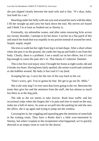she just slipped cleanly between the steel rails and is fine. "It's okay, baby. Just hold for a sec."

Reaching under her belly with one arm and around her neck with the other, I lift her straight up and carry her back down the trail. My nerves are frayed and I think I'm at least as freaked out as Stormy is.

Eventually, my adrenaline wanes, and after some reassuring licks across my sweaty shoulder, I attempt to let her down. I set her on a flat patch of dirt and attach the leash that was stupidly in my pocket instead of around her neck. Stupid, stupid, stupid.

She tries to walk but her right front leg is in bad shape. After a short whine when she puts it on the ground, she yanks her leg up and holds it out from her body. Clearly, there is a problem. I see a small cut on her elbow, but it's not big enough to cause the pain she's in. That means it's internal. Dammit.

This is her first real injury since I brought her home at eight weeks old and it breaks my heart. Having been fairly spoiled, she seems scared and confused as she hobbles around. *My baby is hurt and it's my fault.*

Scooping her up, I carry her the rest of the way back to the car.

"Don't worry, girl. You're gonna be fine. We get to go see Dr. Mills."

She is the only dog I've ever seen that loves going to the vet. Between the treats they give her and the attention from the staff, she has almost as much fun there as at the dog park.

The ride to the vet seems to take forever. Rush hour traffic and her occasional yelps when she forgets she's in pain and tries to stand on the seat, make me a ball of stress. As soon as we pull into the parking lot and she sees the office, she is up again and trying to jump out the window.

Carrying her in, her wiggling and squealing gets the attention of some kids in the waiting room. They have a Rottie that's a little over-interested in Stormy, but when I explain to the receptionist what happened, we're quickly directed to an empty room to wait for the doctor.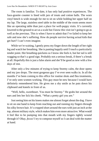The room is familiar. To date, it has only had positive experiences. The faux-granite counter is lined with jars of treats and cotton balls. The worn vinyl bench is wide enough for me to sit on while holding her upper half on my lap. The large, stainless steel table in the middle of the room seems more like an operating table than just a place for well-puppy visits. It's currently lowered to the ground to act as a scale but I know this visit isn't going to go as well as the previous. This is when I have to admit that I've failed to keep her safe and now she's suffering. How do people survive having actual kids that get hurt? I can't even imagine.

While we're waiting, I gently press my finger down the length of her right leg and watch her breathing. She is panting happily until I touch a particularly tender point. Her breathing quickens so I know she feels it, but her tail is still wagging so that's a good sign. Probably not a serious break, if there's a break at all. Hopefully this is just a false alarm and she'll be good as new with a few days of rest.

After only a few minutes of trying to keep Stormy calm, the door opens and my jaw drops. The most gorgeous guy I've ever seen walks in. In all the months I've been coming to this office for routine shots and flea treatments, I've only seen women working. This guy must be new because I would have definitely remembered him. He gives me a shy smile as he puts down his clipboard and kneels in front of us.

"Well, hello, sweetheart. You must be Stormy." He grabs her around the ears and lets her lick his cheek. "What a pretty girl you are."

Just seeing him on his knees makes me almost forget about the dog. I have to sit on one hand to keep from reaching out and running my fingers through his silky brown hair. It's cropped short around the ears with just an inch at the top, almost military style, which makes him even more attractive. What would it feel like to be pumping into that mouth with my fingers tightly wound through it? *Okay, focus!* I try to compose myself so I can deal with the matter at hand.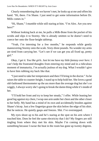Clearly remembering that we haven't met, he looks up at me and offers his hand. "Hi, there. I'm Shane. I just need to get some information before Dr. Mills comes in."

"Hi, Shane," I mumble while still staring at him. "I'm Alex. Are you new here?"

Without looking back at me, he pulls a Milk-Bone from the pocket of his scrubs and slips it to Stormy. She is already smitten so he doesn't need to coerce her onto the floor-height tabletop.

"Yeah, I'm interning for a few months," he responds while gently maneuvering Stormy onto the scale. Sixty-three pounds. No wonder my arms are tired from carrying her. "Let's see if we can get you all fixed up, pretty girl."

*Okay, I get it. You like girls. Just let me have my little fantasy over here.* I can't help the frustrated thoughts from entering my mind and in a ridiculous moment of immaturity, I'm actually jealous of my dog. What I wouldn't give to have him rubbing my back like that.

"I just need to take her temperature and then I'll bring in the doctor." As he raises the table to counter-height, I stand up to help hold her. She loves a good old-fashioned thermometer up the ass more than the average dog but she's so wiggly, I always worry she's going to break the damn thing while it's inside of her.

"I'll hold her front and try to keep her steady," I offer. While leaning her good leg against my chest, I wrap one arm under her chest and the other closer to her belly. My hand has a mind of its own and accidentally brushes against Shane's bicep. Just a few fingertips graze the skin below the edge of his shirt. But he notices. He quietly gasps and freezes. Shit. I've overstepped.

My eyes shoot up to his and he's staring at the spot on his arm where I touched him. Does he feel the same electricity that I do? My fingers are still tingling from where they met his skin. Maybe I'm coming down with something because I swear the heat in the room has gone up twenty degrees.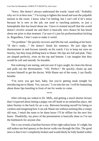"Sorry. She doesn't always understand the words 'stand still.' Probably why we're in here now." I'm trying to lighten the mood and ease the palpable tension in the room. I know what I'm feeling, but I can't tell if he's tense because he is new to the job, not used to touching patients, or just a homophobe that has heard about me. I have to remind myself that the world doesn't revolve around me and there is basically zero chance he has heard about me prior to that moment. I'm sure it's just his professionalism kicking in. Regardless, I don't want to make it weird.

"No problem." He quickly recovers and lifts her tail, standing at her back. "If she's ready…" He doesn't finish his sentence. He just slips the thermometer in and focuses intently on his watch. I try to keep my eyes on Stormy, but they keep drifting back to Shane. His lips are full and pink. They are shaped perfectly, even on the top and bottom. I can imagine that they would be soft and smooth. So kissable.

Not realizing I am staring, and not sure if I got caught, he clears his throat and pulls out the thermometer. "102. Perfect." He quickly cleans up and excuses himself to get the doctor. With Shane out of the room, I can finally breathe.

"I'm sorry you got hurt, baby, but you're getting steak tonight for introducing me to Shane. Yes, you are," I coo into her ear. I will be fantasizing about those lips kneeling in front of me for weeks to come.

\*\*\*\*

After reliving our ordeal to Dr. Mills, and getting a much shorter lecture than I expected about letting a puppy run off-leash in an unfamiliar place, she takes Stormy to the back for an x-ray. Between berating myself for being so careless and imagining how I can ask Shane out without seeming like a creepy old man, I email the team to let them know I'll be offline for the next few hours. Thankfully, my piece of the presentation is basically done so I'm not the bottleneck for anyone else.

The x-ray reveals a hairline fracture of her right radius bone. It's slight, but still makes me feel queasy as the doctor walks me through the film. The good news is that it isn't completely broken and would likely be fully healed within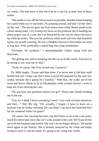six weeks. The bad news is that she'd be in a cast for at least four of those weeks.

"She needs to stay off her feet as much as possible, and that means keeping her crated when you're not home. No jumping around, and don't let her chew on her cast." The doctor gave me final instructions while Shane stood in the corner taking notes. I try to keep my focus on the printouts she is handing me about proper care of a cast, but I'm distracted by the way he chews his lower lip while he writes. The way his perfectly white teeth roll over that beautiful lip has my mouth watering. He has a childlike innocence that makes me want to hug him. Well, preferably a naked hug, but a hug nonetheless.

"Uh-hunh. No problem." I absentmindedly follow along with her directions.

"No getting wet, and no jumping into the car or on the couch. You have to be strong if you want her to heal."

"Yeah, of course. She'll be on bed rest, I promise."

Dr. Mills laughs. "Easier said than done. I've never met a Lab that could handle bed rest. I hope you don't have a social life planned for the next few weeks, because she's gonna be a handful." With that, she walks out of the room and leaves Shane to fit an Elizabethan collar around Stormy's neck to keep her from chewing her cast.

"Do you have any questions before you go?" Shane asks, finally looking me in the eye.

"Um, no. I think I have everything I need. I can work at home tomorrow and then…" Shit. My trip. "Oh, actually, I forgot—I have to leave on a business trip on Friday morning. Do you think I can have her kenneled here for the weekend while I'm gone?"

"Of course. We can keep her here, but she'll have to be in the crate pretty much the entire time since she can't walk around in the yard. We'll just let her out to do her business and stretch. She won't be too happy about it." He kneels down again to pet Stormy. She is already annoyed by the collar and keeps trying to catch it with her teeth. It's going to be a long four weeks.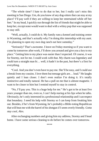"The whole time? I hate to do that to her, but I really can't miss this meeting in San Diego. Um, do you know of any dog-sitters that can stay at my place? I'll pay well if they are willing to keep her entertained while off her feet." In my head, I quickly run through the list of friends that might be able to keep her, except none would want to deal with a whiny pup that was supposed to stay still.

"Well, actually, I could do it. My family runs a kennel and training center in Wyoming, and that's actually why I'm doing this internship with my aunt. I'm planning to open my own dog ranch out here someday."

"Seriously? That's awesome. I leave on Friday morning so if you want to come by tomorrow after work, I'll show you around and give you a key to my place." Getting him to my place was easier than I expected. Of course, it was for Stormy, not for me. I could work with that. My charm was legendary and could turn a straight man bi… well, it hadn't in the past, but there's a first for everything.

"Cool. And you don't even have to pay me. She'll be easy, and I could use a break from my cousins. I love them but teenage girls are… loud." He laughs quietly and I lean closer. I don't even realize I'm doing it. It's totally instinctive and totally natural. He has a pull on me that is almost magnetic. I want to be closer to him but I remind myself to stay in control.

"No, I'll pay you. This is a huge help for me." He's got to be at least five years younger than me, even so, I can't help staring at his lips when he talks. Obviously, he's only interested in a professional relationship and I can respect that boundary. I need his help with Stormy so I can keep from freaking him out. Besides, if he's from Wyoming, he's probably a Bible-toting Republican that will beat me with the barrel of his shotgun if I seem overly friendly. *Gotta stay cool, Alex.*

<span id="page-14-0"></span>After exchanging numbers and giving him my address, Stormy and I head home. I have some serious cleaning to do before he comes over tomorrow.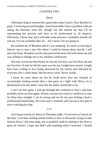#### CHAPTER TWO

#### *Shane*

Offering to dog sit seemed like a good idea when I said it. Now that they're gone, I'm having second thoughts. Aunt Karen didn't have a problem with me taking the business from her, though she did remind me that I'll be representing her practice and have to be professional in all respects. Obviously, I know that, but it still adds some pressure. I probably should call and say I'm not available after all… but I know I'm not going to.

He reminds me of Brandon and it's too tempting. As much as moving to Denver was to start a new life where I could be honest about myself, I still miss my home. Brandon was the only person that knew the truth about me and was willing to indulge me in my drunken confessions.

Not only was he my best friend, he was my first kiss, my first blow job and my first love. If only he felt the same way for me, I might have stayed. I might have been willing to face being disowned by my family and ridiculed by everyone else I cared about. But he never could. Never would.

I know he cares about me but he could never love me. Outside of occasionally fooling around after a late party or a fight with Missy, he is determined to be the ladies' man that his father raised him to be.

I can't do that again. I will get through this weekend at Alex's and then probably never see him again. Stormy was just too sweet to confine in a crate for three days straight. I can be strong and not let my past feelings cloud a professional relationship. He is my aunt's customer and I am just a new guy in town watching his dog.

\*\*\*\*

Arriving at exactly six thirty on Thursday night, I'm nervous as I knock on the door. I can hear rustling around inside as Alex is obviously trying to calm Stormy down. Like most dogs, she is probably used to running to the door to greet all visitors. I hope she didn't pull anything when I knocked. I should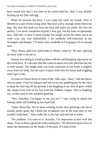have texted him that I was here so he could hold her. Duh, I was already fucking up my first solo gig.

When he answers the door, I can't help but catch my breath. Alex is dressed in a pair of low-slung jeans that have a few strategic holes down his legs. His bare feet peek out from the hem and make me smile. His feet are perfect. I've never considered myself a foot guy, but his look exceptionally nice. And soft. A navy V-neck sweater fits snugly across his chest, not in an overt way, just very fashionable. I am suddenly self-conscious in my Wranglers and Ropers. I'll need a new wardrobe if I'm going to fit in around here.

"Hey, Shane, glad you could make it. Please, come in," he says, opening the door wide to let me in.

Stormy was sitting in a hold position with her tail thumping vigorously on the wood floor. It's obvious that she wants to attack me with affection but she is well trained. The bright pink cast looks awkward as she holds it slightly away from her body, but she stays in place with only her lower half wiggling until I get to her.

As soon as I kneel down in front of her, Alex says, "okay," and she bursts into my arms. I lose my balance and fall on my ass, grabbing her by the chest to keep her hurt leg off the ground. I am laughing at my lack of grace while she cleans every inch of my face with her slobbery tongue. Alex is laughing too, so this must be her standard greeting.

"Hey, beautiful. I'm happy to see you too," I say, trying to regain my footing while still holding up her front half.

"Sorry about that. We've been working on her door greetings and she is usually pretty good, but I think she recognizes you as the treat man so she couldn't hold back." Alex walks her to her bed and tells her to settle.

"No problem. I'm used to it. Actually, I'm impressed at how well she obeys. You've done a good job with training her." He obviously knows how to assert his dominance as the leader of the pack. It's kind of hot.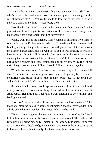"She has her moments, but I've finally gained the upper hand. She knows who's boss and is usually good. Well, at home anyway. Once we get in the car, all bets are off." He gestures for me to follow him to the kitchen. "Can I get you a drink or anything? Water, beer, Coke?"

"No, thanks. I'm fine." I could really use a beer, but that wouldn't be professional. I need to get his instructions for the weekend and then get out. He probably has plans tonight that I'm interrupting.

"Okay, well, this is the kitchen. Help yourself to anything. I've tried to stock it for you but I'll leave some cash, too. If there is anything you need, feel free to pick it up." He points out where to find glasses and plates and shows me Stormy's treat stash. She is a well-loved dog. It was amazing she wasn't heavier. Actually, with all the snacks Alex kept in the house, it was more amazing that he was so trim. His flat stomach didn't hold an ounce of fat. He turns down a hallway and I can't resist checking out his ass. With a flick of his wrist, he gestures for me to follow. I would follow that man anywhere.

"This is the guest room. I've been using it as storage, so it's a mess. I'll change the sheets in the morning and you can just sleep in my bed. It's more comfortable and Stormy is used to sleeping there with me." His face pinks up as he admits it. I think it's sweet that he lets her sleep with him.

Growing up with dogs, I could appreciate the comfort of having a friend nearby overnight. It was one of things I missed most since moving in with Aunt Karen. Her little Shih Tzus didn't want anything to do with me. The feeling is mutual.

"You don't have to do that. I can sleep on the couch or whatever." The thought of sleeping in his bed seems so intimate. Although I have to admit I'm a little excited, too. I wonder if he sleeps nude? Maybe I will.

"Hey, you're doing me a huge favor. I want you to be comfortable." As I follow him into the master bedroom, I take a look around. The dark wood furniture looks brand new and all matches. The large bed sits at least three feet off the ground in a display of grandeur and I have to resist the urge to jump on it. I know I'll have time to really check out everything tomorrow.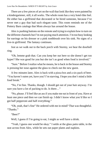There are a few pieces of art on the wall that look like they were painted by a kindergartener, still, it all works. The whole room has a very hotel-like feel. He either has a girlfriend that decorated or he hired someone, because I've never met a guy that had such elegant taste. This room reminds me of the Pottery Barn catalogs that Mom always has around the house.

Alex is pushing buttons on the remote and trying to explain how to turn on the different channels but I'm not paying much attention. I'm too busy looking for earrings on his dresser or a pink toothbrush over his sink. No signs of a live-in girlfriend. The fantasy continues.

Just as we walk out to the back porch with Stormy, we hear the doorbell ring.

"Oh, lemme grab that. Can you keep her out here so she doesn't get too hyper? She was good for you but she isn't as good when food is involved."

"Sure." Before I realize what he means, he is back in the house and Stormy is pressing her nose against the glass to check out the new guest.

A few minutes later, Alex is back with a pizza box and a six-pack of beer. "You haven't eaten yet, have you? I'm starving. I hope you don't mind a little food break."

"No, I'm fine. Thanks, though. I should get out of your hair anyway. I'm sure you have a lot of packing to do. Is there…"

"No, please. I'll feel like an ass if you make me eat in front of you. Have at least one piece and then we can finish up. I didn't know what you'd like so I got half pepperoni and half everything."

"Oh, yeah, that's fine" He ordered with me in mind? That was thoughtful. "Thanks."

"Beer?"

Well, I guess if I'm going to eat, I might as well have a drink.

"Yeah, I guess one would be okay." I settle at the glass patio table, in the seat across from Alex, while he sets out paper plates and napkins.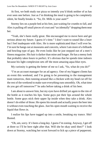At first, we both study our pizza so intently you'd think neither of us has ever seen one before. Just as I'm thinking the meal is going to be completely silent, he finally breaks it. "So, Dr. Mills is your aunt?"

Stormy lies on a purple bed at his feet, just waiting for crumbs to fall, and Alex is pulling off small pieces of crust and "accidentally" dropping them near her.

"Yeah, she's been really great. She encouraged me to move here and get serious about my future. I guess it's time." I don't want to sound like a loser but I feel inadequate with Alex. He is more sophisticated than I will ever be. I'm sure he hangs out at museums and concerts, where I am more of a billiards and bowling type of guy. He even looks like he just stepped out of a men's fitness magazine. His hair is darker than mine and longer. He has a messy look that probably takes hours to perfect. It's obvious that he spends time indoors because his light complexion sets off the most amazing aqua-blue eyes.

My curiosity is getting the better of me so I ask, "So, what do you do?"

"I'm an account manager for an ad agency. One of my biggest clients has an event this weekend, and I'm going to be presenting to the management team tomorrow, then running around like a chicken with my head cut off for the rest of the weekend to make sure everything runs smoothly. Oh, what time do you get off tomorrow?" he asks before taking a drink of his beer.

I am about to answer him, but my eyes have drifted yet again to the rim of the bottle as it reaches his lips. Some guys put their lips around the whole bottle. Some guys stick their upper lip inside when they take a drink. Alex doesn't do either of those. He opens his mouth and actually pours the beer into it without even touching the glass. Just his open mouth waiting to receive the liquid that flows in.

I realize his lips have tugged up into a smile, breaking my trance. Shit! Busted.

"Oh, um, sorry. It's been a long day. I guess I'm zoning. Anyway, I get off at three so I'll be here right after that. Will she be okay until then?" I look down at Stormy, watching her scoot forward to lick up a piece of pepperoni.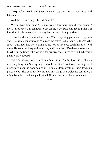"No problem. My friend, Stephanie, will stop by at noon to put her out and let her stretch."

And there it is. The girlfriend. "Cool."

We finish up dinner and Alex shows me a few more things before handing me a set of keys. I'm anxious to get on my way, suddenly feeling like I'm intruding in his personal space way beyond what is appropriate.

"Like I said, make yourself at home. Watch anything you want on pay-perview. Eat whatever you want. Walk around naked. Whatever." He laughs as he says it but I feel like he's staring at me. When my eyes catch his, they hold there. He seems to be questioning me, and I wonder if I've been too forward. Maybe I'm getting a little too bold for my breeches. I need to rein it in before I get my ass whooped.

"Will do. Have a good trip," I mumble as I rush for the door. "I'll call if we need anything but Stormy and I should be fine." Without meaning to, I practically slam the door behind me. I take a deep breath as I jog down his porch steps. The cool air flowing into my lungs is a welcome sensation. I might be able to dodge a panic attack if I can get out of here fast enough.

\*\*\*\*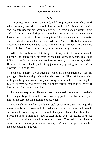#### CHAPTER THREE

#### *Alex*

<span id="page-21-0"></span>The scrubs he was wearing yesterday did not prepare me for what I find when I open my front door. He looks like he's right off *Brokeback Mountain,* and I want to ride that cowboy into oblivion. He wears a simple black T-shirt and dark jeans. Tight, dark jeans. Wranglers. Damn, I haven't seen anyone look so good in a pair of those in a long time. They are snug around his waist and down his thighs, not leaving much to the imagination. The bulge in front is encouraging. If that is what he sports when he's limp, I couldn't imagine what he'd look like… Stop. Focus. He's your dog-sitter, for god's sake.

After ushering him in, I let him greet Stormy while I compose myself. Holy hell, he looks even better from the back. He is kneeling again. This kid is killing me. Before he notices the drool from my chin, I release Stormy and she flies into his arms. I subtly adjust my jeans so my growing interest isn't as obvious. Then he laughs.

Shane has a deep, playful laugh that makes my stomach tighten. I feel that pull again, like I should go to him. I need to go to him. That's ridiculous. He's rolling on the ground with Stormy and doing an admirable job of keeping her casted leg from bearing any weight. If I'm not careful, that good ol' boy will beat my ass for coming on to him.

I take a few steps toward him and then catch myself, remembering that he's here for purely professional reasons. Walking past, I wait for him to pick himself up before leading him into the kitchen.

Showing him around my Craftsman-style bungalow doesn't take long. The guest room is full of boxes and I immediately offer up the master bedroom. It seems like he's checking out the room. Is that approval or disdain? I can't tell. I hope he doesn't think it's weird to sleep in my bed. I'm getting hard just thinking about him sprawled between my sheets. Too bad I didn't have a camera set up… *Okay, perv, kill the stalking tendencies.* I've got to remember he's just doing me a favor.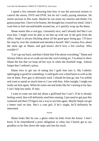I spend a few minutes showing him how to use the universal remote to control the stereo, DVD and DVR, but he isn't really paying attention. He seems anxious in this room. Maybe he can sense my interest and thinks I'm gonna jump him. I have to be honest, the thought has crossed my mind. I don't want him to feel uncomfortable around me, so I quickly wrap up the demo.

Shane seems like a cool guy. Genuinely nice, and I already feel like I can trust him. I might even be able to set him up with one of the girls from the office. Steph is always bitching about all the good guys being gay. I'll have her stop by over the weekend and introduce herself. She's twenty-five, about the same age as Shane, and god knows she'd love a hot cowboy. Who wouldn't?

"Let's go out back, and then I think that'll be about everything." Shane and Stormy follow me as we walk out into the cool evening air. I'm about to show Shane the bin that we keep all her toys in when the doorbell rings. Almost forgot that I ordered a pizza.

Shane tries to get out of eating but I guilt him into it. My Catholic upbringing is good for something. I could guilt over a kind heart as well as the rest of them. Poor guy is obviously tired. I should let him go, but I'm selfish and want to spend as much time as I can with him. After tonight, I might not really see him again. When he zones out and looks like he's staring at my lips, I can't help but smile. If only.

I want to come out and ask about a girlfriend but I can't. If he is already feeling weird, that will definitely send him running. I just need to get past this weekend and then I'll figure out a way to see him again. Maybe Steph can get a better read on him. She's a cute girl; if he's single, he'll definitely be interested.

\*\*\*\*

Shane looks like he saw a ghost when he bolts from the house. I don't know if he remembered a prior obligation or what, but I barely get to say goodbye as he flies down the steps and into his truck.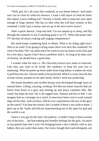"Well, girl, he's all yours this weekend, so you better behave. And make sure you're close by when he showers. I want a full report of what he looks like naked. Leave nothing out!" Stormy is barely able to keep her eyes open enough to feign interest. She has no idea what she will bear witness to this weekend. *Could I get a nanny-cam set up in the next twelve hours?*

After a quick shower, I hop into bed. I'm too amped up to sleep, and flip through the channels to see if anything good is on TV. When did prime time TV become all about cooking and singing competitions?

My mind keeps wandering back to Shane. What is he doing right now? Who is he with? Is he going to bring some chick over here this weekend? So what if he does? He's an adult and if he wants to use my house as his fuck pad for a few days, I guess I don't have a problem with it. As long as he takes care of Stormy, he should have a good time.

I wonder what his story is. His chocolaty-brown eyes seem so innocent. Like they just want to be loved. His tendency to keep his eyes low is endearing. When he peeks up from under those long lashes, it makes me want to pull him into me. Like he needs to be protected. Which is crazy since he has at least twenty pounds on me and clearly doesn't need any protecting.

His broad shoulders and swollen biceps were developed through years of manual labor. Lifting, carrying, working. Not like my leaner muscles that are borne from hours at a gym and running up and down countless hills. My vanity has kept me trim. He is all rugged man. Natural and hot as hell. I can imagine him as a teenager on a ranch. It must have been cool to work around dogs all the time. And cowboys. Did he ever experiment with any of the guys on the ranch? You hear the stories, but I wonder if there's any truth to them. I grew up in the 'burbs and did my experimenting out in the open for god and the world to see.

I knew I was gay by the time I hit puberty. I couldn't keep it down around any of the boys… but had nothing but friendly feelings for the girls. As much as my parents hate that I won't be bringing home a nice Catholic wife or any babies, they are cooler than some. Our visits, though short and infrequent, are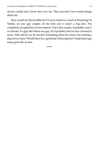always cordial and I know they love me. They just don't love certain things about me.

How would my life be different if I were raised on a ranch in Wyoming? In Seattle, we saw gay couples all the time and it wasn't a big deal. Not completely accepted but not uncommon. Out in the country, it probably wasn't so tolerant. If a guy like Shane was gay, he'd probably have to stay closeted or move. Why did he say he moved? Something about his future and starting a dog service here? Would there be a girlfriend following him? Steph better get some good dirt on him.

\*\*\*\*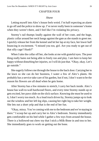### CHAPTER FOUR

#### *Shane*

<span id="page-25-0"></span>Letting myself into Alex's house feels weird. I'm half expecting an alarm to go off and the police to show up. I've never really been in someone's home when they weren't there, and I feel like I'm violating his privacy.

Stormy's tail thumps loudly against the wall of her crate, and the huge, plastic collar around her neck bangs against the gate as she stands to greet me. I quickly release her from the kennel and let her lap at my face, her lower half bouncing in excitement. "I missed you too, girl. Are you ready to get out of that silly cage? Hunh?"

When I take the collar off her, she looks at me with grateful eyes. The poor thing really hates not being able to freely run and play. I am here to keep her happy without disturbing her injuries, so I will do just that. "Okay, okay. Let's go outside."

She eagerly follows me through the house to the back door. Carrying her to the lawn so she can do her business, I water a few of Alex's plants. He probably has a service take care of his garden, but if not, I don't want to be the reason his flowers are all dead when he gets home.

After Stormy has a few minutes to stretch, I carry her back inside. Alex's house has wall-to-wall hardwood floors, and every time Stormy stands up or gets excited, her paws slide on the slick surface. Knowing she must be used to it, I don't worry too much. As a loud truck drives by, Stormy jumps up to look out the window and her left leg slips, causing her right leg to take her weight. She lets out a short yelp and that is the end of her fun.

"Okay, missy. You're coming with me to the bedroom and we're staying in there." I scoop her up and carry her to Alex's bedroom. Stormy immediately gets comfortable on his bed while I gather a few toys from around the house. There is a hollowed-out chew toy that I stick a Milk-Bone in and toss to her. She immediately goes to work on getting out the bone.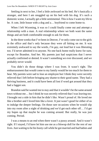Settling in next to her, I feel a little awkward on his bed. He's basically a stranger, and here I am snuggled up on his bed with his dog. It's such a domestic scene, I actually get a little sentimental. This is how I want my life to be. A cute, little house with a dog and a… boyfriend to come home to.

When I left Wyoming, it was so I could finally come out and attempt a relationship with a man. A real relationship where we both want the same things and are both comfortable enough to ask for them.

In the three weeks that I've been in Denver, I've only come out to the girls in the office and that's only because they were all hitting on me. It was extremely awkward to say the words, *I'm gay*, out loud but it was liberating too. I'd never admitted it to anyone. No one back home really knew for sure, except for Brandon. And her. My parents just had suspicions that I never actually confirmed or denied. It wasn't something we ever discussed, and we probably never would.

You didn't do those things where I was from. It wasn't right. The embarrassment that would come to my family would be too much for them to bear. My parents were sad to lose an employee but I think they were secretly relieved that I left before bringing any shame to their good name. They had a thriving business, and it could have been all lost if word got around that they had a faggot son.

Brandon said he wanted me to stay and that it wouldn't be the same around town without me… but I think he was secretly relieved that I was leaving too. I brought out a side in him that he didn't like. Wasn't proud of. He loved me like a brother and I loved him like a lover. It just wasn't good for either of us to indulge the deeper feelings. On those rare occasions when he would slip into my room after a night of drinking and we'd get each other off… I'd get my hopes up that maybe he was coming around. But really, he was just coming. Period.

I was a means to an end when there wasn't a pussy around. And it wasn't right. If I stayed, I'd have let him use me as a blowup doll for the rest of our lives. Just waiting to be his booty call while he got married and had babies and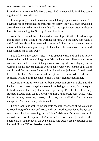lived the idyllic country life. No, thanks. I had to leave while I still had some dignity left to take with me.

It was getting easier to envision myself living openly with a man. Not having to hide behind excuses or fear for my safety. I saw gay couples walking around town every day now. I want that. To live happily ever after in a house like this. With a dog like Stormy. A man like Alex.

Aunt Karen hinted that if I wanted a friendship with Alex, I had to keep things professional while I was working for him. Did she know him well? I didn't ask her about him personally because I didn't want to seem overly interested, but she is a good judge of character. If he was a loser, she would have warned me to stay away.

She's known my secret since I was sixteen years old and not nearly interested enough in any of the girls as I should have been. She was the one to convince me that if I wasn't happy with how my life was playing out in Casper, I should move to Denver where people were very tolerant of all types and I could find whatever I was looking for without judgment. I could read between the lines. She knows and accepts me as I am. When I do meet someone I want to introduce her to, she'll be my biggest cheerleader.

Leaving Stormy to work on her bone extraction project, I slip into the kitchen to see if there is anything to snack on. Being a bachelor, I don't expect to find much in the fridge but when I open it up, I'm shocked. It is fully stocked. Loaded from top to bottom with milk, juice, beer, eggs, white wine, bacon, lettuce, tomatoes, steaks, cold cuts, and stuff that I don't even recognize. Alex must really like to cook.

I grab a Coke and walk to the pantry to see if there are any chips. Again, it is loaded. Bags of Doritos and Fritos and Lay's Barbecue as far as the eye can see. I feel like I am standing in the "food" aisle at a 7-Eleven. Just a bit overwhelmed by the options, I grab a bag of Fritos and go back to the bedroom. I sit at the edge of the bed to make sure I don't get any crumbs in his bed and flip the TV to a baseball movie.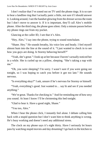I don't realize that I've zoned out on TV until the phone rings. It is so rare to hear a landline ring that I actually panic a little, not sure if I should answer it. Looking around, I see the handset glowing from the dresser across the room but I don't move to answer it. If it is important, they'll call Alex's mobile phone. After the third ring, the phone goes silent. Only a minute passes before my phone rings out from my pocket.

Glancing at the caller ID, I see that it's Alex.

"Hey, Alex," I say into the phone, trying to sound nonchalant.

"Shane. Hey." He sounds breathy, his voice low and heady. I feel myself almost hum into the line at the sound of it. "I just wanted to check in to see how you guys are doing. Is Stormy behaving herself?"

"Yeah, she's great." I look up at her because I haven't actually noticed her in a while. She is curled up on a pillow, sleeping. "She's taking a nap with me."

"Oh, you were sleeping? I'm sorry. I wasn't sure if you were going out tonight, so I was hoping to catch you before it got too late." He sounds nervous.

"Is everything okay?" I ask, unsure if he's nervous for Stormy or himself.

"Yeah, everything's good. Just wanted to… say hi and see if you needed anything."

"We're great. Thanks for checking in." And for reminding me of how sexy you sound. At least I know I'll be christening this bed tonight.

"Glad to hear it. Have a good night, Shane."

"You too, Alex."

When I hear the phone click, I instantly feel alone. I debate calling him back with a stupid question but I don't want him to think anything is wrong. He's busy working and doesn't need any additional stress.

The clock on my phone says it's eight thirty. Have I seriously let hours pass by watching stupid movies and day dreaming? I go back to the kitchen to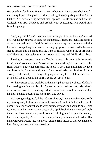fix something for dinner. Having so many choices is always overwhelming for me. Everything looks good but I don't feel right making a big meal in Alex's kitchen. After considering several meal options, I settle on mac and cheese. Childish, yes. But, delicious and probably not something Alex would miss from his pantry.

\*\*\*\*

Stepping out of Alex's luxury shower is tough. If the water hadn't cooled off, I would have stayed in there for another hour. There are fountains coming at me in every direction. I didn't realize how tight my muscles were until the hot water was pelting them with a massaging spray that switched between a steady stream and a pulsing trickle. I am so relaxed when I towel off that I can't think of anything better than passing out in my bed. Well, Alex's bed.

Passing his hamper, I notice a T-shirt on top. It is grey with the words *California Polytechnic State University* written inside a green circle across the front. I don't know what possesses me to pick it up, but as I hold it to my face and breathe in, I am instantly erect. I can smell Alex in his shirt. A little sweaty, a little musky, a lot sexy. Slipping it over my head, I take a quick look at myself. I look good in his shirt. I could get used to this.

With the stress of the week behind me, I slip between the sheets of Alex's bed wearing nothing but his shirt. Spreading out to feel the cool, crisp sheets over my bare skin feels amazing. I don't know much about thread count but his must be high because the sheets feel like velvet.

Scissoring my legs to feel the softness all over, I let my mind wander. With my legs spread, I close my eyes and imagine Alex in this bed with me. It doesn't take long for my hand to wrap around my cock and begin to pulse. Not wanting to make a mess on my first night, I pull back the top sheet and grab the extra pillow to angle my neck forward. Sliding my fist up and down my hard cock, I quickly give in to the fantasy. Being in this bed with Alex. His hand wrapped around me. His mouth on me. Him inside of me. Me inside of him. Fuck, this isn't going to take long.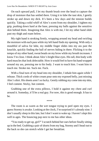On each upward pull, I let my thumb brush over the head to capture the drop of moisture that has settled there. Using it to lube the taut skin, I gently stroke up and down my dick. It's been a few days and the tension builds quickly. Taking a solid whiff of Alex's scent from my shoulder, I tighten my grip, pushing down hard at the base, pressing my balls against the sensitive skin behind them. Imagining that Alex is with me, I let my other hand slide past my thigh and roam below.

My right hand is stroking firmly, wrapping around my head and swirling the moisture with each pass while my left hand finds my opening. With only a mouthful of saliva for lube, my middle finger slides into my ass past the knuckle, quickly finding the ball of nerves hiding in there. Flicking it to the tempo of my other hand, sweat beads on my brow while my breath increases. I know I'm close. I think about Alex's bright blue eyes. His tall, thin body with hard muscles that look delectable. How it would feel to have his hand wrapped around my ass, pressing me to his body. I want to touch him. I want him to touch me. Stroke me. Suck me. Fuck.

With a final turn of my head into my shoulder, I inhale him again while I release. Thick cords of white cream pour onto my exposed belly, just missing Alex's shirt. His sheets aren't so lucky. Gently rubbing my come into my skin, I feel content. Sticky, but content.

Grabbing one of the extra pillows, I hold it against my chest and curl around it. Someday, it'll be a real guy. For now, this is good enough. It has to be.

\*\*\*\*

The room is as warm as the wet tongue trying to peel open my eyes. I guess Stormy is awake. Looking at the clock, I'm surprised it's already nine. I don't usually sleep in this late, but I don't want to wake up. I haven't slept this well in ages. The bouncing pup next to me has other ideas.

"You ready to get up, girl?" I scratch behind her ears before finally sitting up in the bed. Grabbing a pair of shorts from my bag, Stormy and I head out to the back so she can stretch while I get her breakfast.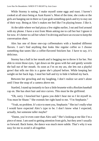While Stormy is eating, I make myself some eggs and toast. I haven't cooked at all since being at Aunt Karen's. Most of the time, she cooks or the girls are hanging out in there so I just grab something quick and try to stay out of their way. Being at Alex's makes me feel like I'm playing house. I like it.

At the table where we had pizza a few nights earlier, I eat and fool around with my phone. I have a text from Mom asking me to call her but I ignore it for now. It's better to call her when I'm driving and have an excuse to keep the conversation short.

Alex has one of those one-cup coffeemakers with a hundred different flavors. I can't find anything that looks like regular coffee so I choose something that tastes like a coffee-flavored Snickers bar. I have to say, it's delicious.

Stormy has a ball in her mouth and is begging me to throw it for her. Not able to resist those eyes, I get down on the grass with her and gently wrestle the ball out of her mouth. As soon as I'm on my ass, she lets out a playful growl that tells me this is a game she's played before. While keeping her weight on her back legs, I steal her ball and try to hide it behind my back.

Between her growling and my laughing, I don't realize we aren't alone until I hear the snap of a camera above me.

Startled, I stand up instantly to face a little brunette with a Rockies baseball cap on. She has short hair and nice curves. This must be the girlfriend.

"Oh, sorry. I knocked but I guess you didn't hear me so I let myself in. You must be Shane." She extends her right hand to me. "I'm Stephanie."

"Yeah, no problem. It's nice to meet you, Stephanie." She isn't really what I would have expected Alex's type to be. I don't know what I expected, actually, but someone taller maybe?

"Damn, you're even cuter than Alex said." She's looking at me like I'm a piece of meat. I am used to getting attention from girls, but they aren't usually so forward. Back home, the dance was much more subtle. That's why it was easy for me to avoid it all together.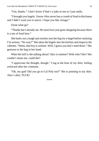"Um, thanks." I don't know if that's a joke or not so I just smile.

"I brought you bagels. I know Alex never has a crumb of food in this house and I didn't want you to starve. I hope you like Asiago."

Ozzie what go?

"Thanks but I already ate. He must have just gone shopping because there is a ton of food here."

She barks out a laugh and reaches into the bag for a bagel before realizing I'm serious. "No way?" She takes the bagels into the kitchen and inspects the cabinets. "Hmm, that boy is smitten. Well, I guess you don't need these." She gestures to the bag in her hand.

What the hell is she talking about? Alex is smitten? With who? Her? She couldn't mean me, could she?

"I appreciate the thought, though." I tug at the hem of my shirt, feeling awkward after her comment.

"Oh, my god! Did you go to Cal Poly too?" She is pointing to my shirt. Alex's shirt. FUCK!

\*\*\*\*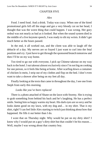#### CHAPTER FIVE

#### *Alex*

<span id="page-33-0"></span>Food. I need food. And a drink. Today was crazy. When one of the hired promotional girls fell off the stage and got a very bloody cut on her head, I thought that was the worst thing that could happen. I was wrong. Her gory ordeal was not nearly as bad as it looked. But when the sound system died in the middle of a live keynote speech, I was ready to slit my wrists. It didn't get much better as the hours passed.

In the end, it all worked out, and the client was able to laugh off the debacle of a day. My nerves are so frayed I just want to curl into the fetal position and cry. I just have to get through the sponsored brunch tomorrow and then I'll be on my way home.

Too tired to go out with everyone, I pick up Chinese takeout on my way back to the hotel. I eat takeout almost exclusively since I'm not big on cooking for one person, so it feels like being at home. After scarfing down a container of chicken lo mein, I strip out of my clothes and flop on the bed. I don't even want to take a shower after being on my feet all day.

Finally looking at the texts that came in throughout the day, I see one from Steph from early this morning.

### *Looks like you've been replaced*

There is a photo attached of Shane on the lawn with Stormy. She is trying to grab something from behind his back and he's laughing. He has a perfect smile. Seeing him so happy warms my heart. His dark eyes are so sexy and he looks damn good on my lawn, with my dog and… in my shirt. That *is* my shirt, right? I can feel little Alex starting to twitch just thinking about how that happened. He fills it out better than I do.

I wore that on Thursday night. Why would he put on my dirty shirt? I know why I would put on a guy's dirty shirt but that couldn't be his reason… Well, maybe I was wrong about that country boy.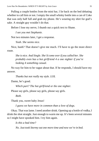Pulling a couple bottles from the mini bar, I lie back on the bed debating whether to call him or not. I empty the small whisky bottle into a can of Coke that was only half full and grab my phone. He's wearing my shirt for god's sake. A straight guy wouldn't do that.

Before I lose my nerve, I thumb out a quick text to Shane.

*I see you met Stephanie.*

Not two minutes later, I get a response.

*Yeah. She seems nice.*

Nice, hunh? That doesn't give me much. I'll have to go the more direct route.

*She is nice. And Single. She'd come over if you called her. She probably even has a hot girlfriend 4 a one nighter if you're looking 4 something casual.*

No way for him to be vague about that. If he responds, I should have my answer.

*Thanks but not really my style. LOL*

Damn, he's good.

*Which part? The hot girlfriend or the one nighter.*

Please say girls, please say girls, please say girls.

*Both.*

Thank you, sweet baby Jesus!

*I guess we have more in common than a love of dogs.*

Okay. That was lame. I need another drink. Opening up a bottle of vodka, I drink the shot straight. Just enough to warm me up. It's been several minutes so I might have spooked him. I try him again.

*Is this a bad time?*

*No. Just took Stormy out one more time and now we're in bed.*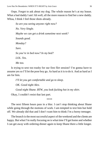Oops. Forgot to ask about my dog. The whole reason he's at my house. What a bad daddy I am! Ah well, all the more reason to find her a new daddy. Whoa, I think I feel those shots already.

*So are you seeing anyone right now? No. Very Single. Maybe we can get a drink sometime next week? Sounds good. Monday? Sure. So you're in bed now? In my bed? LOL. Yes. Me too.*

Is trying to sext too trashy for our first flirt session? I'm gonna have to assume yes so I'll let the poor boy go. As hard as it is to do it. And as hard as I am for him.

*I'll let you get comfortable and go to sleep. OK. Good night Alex. Good night Shane. BTW, you look fucking hot in my shirt.* Okay, I couldn't resist that last part.

\*\*\*\*

The next fifteen hours pass in a blur. I can't stop thinking about Shane while going through the motions of work. I am tempted to text him but hold off. We already did that and I don't want him to think I'm a horny teenager.

The brunch is the most successful aspect of the weekend and the clients are happy. But what I'm really focusing on is what time I'll get home and whether I can get away with ordering dinner again to keep Shane there a little longer.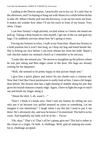Landing at the Denver airport, I practically run to my car. It's only four in the afternoon, and I'm hoping to hang out with Shane for a while before he has to take off. When I finally pull into the driveway, I can see his truck out front. It makes me wonder how often I'll see his truck in front of my house. Very often, I hope.

I can hear Stormy's high-pitched, excited whine so I know she heard me pull up. Taking a deep breath to calm myself, I get out of the car and grab my bags. I'm suddenly nervous about how he's going to react.

Forcing my features to relax, I walk in my front door. Shane has Stormy in a hold position but it won't last long, so I drop my bag and kneel beside her. She is licking my face before I can even release her from her hold. Shane's soft chuckle makes my stomach clench as I remember to be nervous.

"Looks like she missed you." He moves to straighten up the pillows where he was just sitting and then edges closer to the door. His bags are already waiting for his departure.

"Well, she seemed to be pretty happy in that picture Steph sent."

I give him a quick glance and notice his tan cheeks turn a crimson red. Now that I feel like I have permission to really look at him, I stare a bit longer than before. His bronze skin has a light dusting of stubble along his jaw that gives his boyish features a manly edge. Again, I have to fight the urge to reach out and brush my finger along it.

"About the shirt, I, uh, wasn't…"

"Don't. I think it's kinda sexy. Don't ruin my fantasy by telling me you only put it on because you spilled mustard on yours or something. Let me imagine it was intentional." I laugh when I say this but I need to put it out there. He's obviously shy, and now he knows I'm interested. The ball is in his court. And hopefully my balls will be in his… Focus!

"Oh, okay." That's it? That's all he's gonna give me? This kid is either in the closet or a virgin. Or both. A challenge. Well, god-of-making-me-workfor-it, challenge accepted.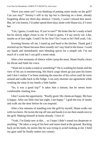"Have you eaten yet? I was thinking of putting some steaks on the grill? Can you stay?" Stormy's still in my lap but is chewing on a bone, already forgetting about my three-day absence. Clearly, I wasn't missed that much. But, let's be honest, I'd rather spend three days alone with Shane too, if I were her.

"Um, I guess, I could stay. If you're sure?" He looks like he's ready to barf but he slowly edges closer to me. If I had to guess, I'd say newly out. Like, maybe as of last night. Could I be his first? Do I want to be? Hell yeah, I do.

Scooting Stormy off me, I stand up and head to the kitchen. Thank god I stocked up for Shane because there usually isn't any food in the house. I wash my hands and immediately start blending spices for a simple rub. I'm not much of a cook but I can grill a mean steak.

After a few moments of silence while I prep the meat, Shane finally clears his throat and finds his voice.

"Want me to make a salad or something?" He is washing his hands and the view of his ass is mesmerizing. His black cargo shorts go just past his knees and I don't realize I've been studying the muscles of his calves until he turns around and walks back to the fridge. I can only murmur out agreement while working the meat in my hands a little harder.

"So, it was a good trip?" It takes him a minute, but he seems more comfortable chatting now.

I don't waste the opportunity. "Really good. My clients are happy. My boss is happy. After our little chat last night, I am happy." I grab the tray of steaks and walk out the door before he can respond.

After a few minutes of standing over the grill by myself, Shane walks out with two beers. He twists the top off one and hands it to me then stands next to the grill. Making himself at home already. I love it!

"Yeah, I'm kinda new at this… so I hope I didn't sound too desperate or anything." He takes a swig of his beer and stares hard at the ground. Rocking back on his heels, he seems like he was trying to avoid looking at me. I hold my gaze until he finally makes eye contact.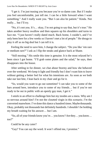"I get it. I'm just teasing you because you're so damn cute. But if I make you feel uncomfortable, just tell me. I can be a little forward when I want something." And I really want you. "But I can also be patient." Kinda. Not really… but I'll try.

"No, it's not you. It's… okay, I'm not going to say that, but it's true." He takes another heavy swallow and then squares up his shoulders and turns to face me. "I just haven't really dated much. Back home, I couldn't, and I've only been here for a few weeks so I haven't met a lot of people." He shrugs to play it off as no big deal but I can tell it is.

Feeling the need to save him, I change the subject. "Do you like 'em rare or medium rare?" I ask as I flip the steaks and glance back at Shane.

"Still mooing." His smile this time is genuine. It is the most relaxed he's been since I got home. "I'll grab some plates and the salad," he says, then disappears into the house.

After settling in for dinner, we chat about Stormy and how she behaved over the weekend. We keep it light and friendly but I don't want him to leave without getting a better feel for what his intentions are. As soon as we both take our last bite, I lean back in my chair and go for it.

"So, would you want to go out sometime? I can take you to some of the bars around here, introduce you to some of my friends… but if you're not ready to be out in public with an openly gay man, I get it."

I smirk in an effort to challenge him but my insides are a mess. Why am I so nervous around him? *I'm* not the closeted virgin in this scenario. *I'm* the converted manwhore. I've done this dance a hundred times. Maybe thousands. Okay, probably not thousands but definitely hundreds. I shouldn't be holding my breath waiting for his answer… but I am.

"So, all of your friends know you're… you know? Are they… you know… too?"

Could he be any cuter?

"Gay? You can say the word. It won't offend me, I promise."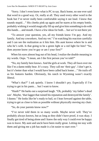"Sorry. I don't even know what is PC to say. Back home, no one ever said that word in a good way. Or, really at all. They used every other word in the book but I've never really been comfortable saying it out loud. I know that sounds stupid…" His cheeks pink up again and he stares at his empty bottle, probably wishing it would magically fill up and give him something to do with this hands… and mouth. I have a few ideas for both… but we're not there yet.

"To answer your question, yes, all my friends know I'm gay. And my family. And my coworkers. And my vet." I'm watching his reaction carefully and I can see the realization as it hits him. His aunt knows where he is and who he's with. Is that going to be a green light or a red light for him? "So, does anyone know you're gay or am I your first?"

When his eyes almost bug out of his head, I realize the double meaning in my words. Oops. "I mean, am I the first person you've told?"

"No, my family here knows. And the girls at work. They all fawn over me like I'm a damn teddy bear. It's crazy. They call me 'their gay'. I don't get it, but it's better than what I would have been called back home…" He trails off as his features harden. Obviously, his ranch in Wyoming wasn't exactly liberal.

"What's that?" I ask quietly. I know I shouldn't pry. Especially if I'm trying to get in his pants… but I want to know.

"Hunh?" He barks out a surprised laugh. "Oh, probably 'my father's dead son'. Maybe, 'that faggot that ruined his reputation and destroyed the family'. I dunno." He looks like he's ready to bail, so I lean forward against the table, trying to get as close to him as possible without physically moving my chair.

"So, do your parents know now?"

"I've never told them in so many words. Maybe never will. They've probably always known, but as long as they didn't have proof, it was okay. I finally got tired of being alone and I knew the only way I could ever be happy was to leave. My aunt and uncle have been really great. Letting me stay with them and giving me a job has made it a lot easier to start over."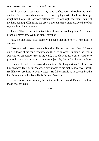Without a conscious decision, my hand reaches across the table and lands on Shane's. His breath hitches as he looks at my light skin clutching his large, rough fist. Despite the obvious differences, we look right together. I can feel the heat coming off him and his brown eyes darken even more. Neither of us say anything for a moment.

I haven't had a connection like this with anyone in a long time. And Shane probably never has. Wait, he didn't say that…

"So, no one knew back home?" I hedge, not sure how I want him to answer.

"No, not really. Well, except Brandon. He was my best friend." Shane quickly looks at me for a reaction and then looks away. Studying the leaves swaying on an apricot tree in my yard, it is clear he isn't sure whether to proceed or not. Not wanting to let the subject die, I wait for him to continue.

"He and I used to fool around sometimes. Nothing serious. Well, not to him anyway. He's getting married next month to his high school sweetheart. He'll have everything he ever wanted." He fakes a smile as he says it, but the hurt is evident on his face. He isn't over Brandon.

That means I have to really be patient or be a rebound. Damn it, both of those choices suck.

\*\*\*\*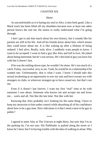# CHAPTER SIX

## *Shane*

As uncomfortable as it is baring my soul to Alex, it also feels good. Like a Mack truck has been lifted off my shoulders because now at least one other person knows the real me. He seems to really understand what I'm going through.

I don't get to ask him much about his own history, but it sounds like his parents are still in his life. And all his friends know about him, which means they could know about me. It is like waking up after a lifetime of being sedated. I feel alive. Really, truly alive. I suddenly want people to know. I want to be accepted. I want to find a guy like Alex and fall in love. He joked about being interested, but he's not serious. He's the kind of guy you have fun with but it doesn't last.

If he was the settling-down type, he wouldn't be alone. He's too much of a catch. Funny, successful, sexy as sin. Yeah, he would be in a relationship if he wanted one. Unfortunately, that is what I want. I know I should take this sexual awakening as an opportunity to sow my oats and have sweaty sex with strangers in clubs, or wherever strangers go to have casual sex, but that's not me.

Even if it doesn't last forever, I want my first "real" time to be with someone I care about. Someone who knows me and accepts me and loves me… warts and all. Not like the last time. Not like with her.

Knowing that Alex probably isn't looking for the same thing, I have to keep my attraction to him under control while absorbing all of his confidence about how to be a gay man. How ridiculous is it that I need a tutor to be gay in public?

\*\*\*\*

I agreed to meet Alex at The Unicorn at eight thirty, but now that I'm in the parking lot, I'm not sure. His Pathfinder is parked along the street so I know he's here, but I'm having trouble with the idea of walking in alone. Why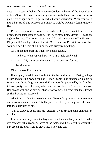does it have such a fucking fairy name? Couldn't it be called the Beer House or Joe's Sports Lounge or something more neutral? There is no way for me to play it off as ignorance if I get called out while walking in. When you walk into a bar called The Unicorn you might as well be waving a damn rainbow flag.

I'm not ready for this. I want to be ready for this, but I'm not. I moved to a different goddamn state to do this. But I need more time. Maybe I'll go to an eighties bar first. Those seem pretty gay. I'll work my way up to The Unicorn. I'll just tell Alex I got stuck at work. Or I could say I'm sick. At least that wouldn't be a lie. I'm about three breaths away from puking.

As I'm about to start the truck, my phone buzzes.

*I'm here. When you walk in, we're at a table on the left.*

Stay or go? My traitorous thumbs make the decision for me.

*Parking now.*

Okay, I guess I'm doing this.

Keeping my head down, I walk into the bar and turn left. Taking a deep breath and steeling myself for The Village People to be dancing on a table in front of me, I quickly glance around. I'm almost disappointed by the fact that it looks pretty much like every other bar I've ever been in. There is a rainbow flag on one wall and an obvious absence of women, but other than that, it's not as flamboyant as I expected.

Alex is at a table with two other guys. He stands up as soon as he sees me and waves me over. *I can do this.* He pulls me into a quick hug and ushers me into the chair next to his.

"I'm so glad you could make it," Alex says while scooting his chair closer to mine.

I haven't been shy since kindergarten, but I am suddenly afraid to make eye contact with anyone. All eyes at the table, and, honestly throughout the bar, are on me and I want to crawl into a hole and die.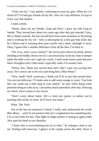"Yeah, me too," I say quietly, continuing to avert my gaze. What am I so afraid of? I've had guy friends all my life. Alex isn't any different. Except in every way that matters.

I need a drink.

"Shane, these are my friends, Greg and Dave. I grew up with Greg in Seattle. They moved here about two years ago after they got married. Guys, this is Shane Greenly. He just moved here from some mountain in Wyoming and is working for my vet." Alex is interrupted by a thin guy that looks like he's fifteen and is wearing short jean cutoffs and a sheer, skintight V-neck. Okay, I guess that's another difference from all the bars I've been to.

"Oh, Lexy, who's your cowboy?" the server purrs above my head, almost drooling as he boldly checks me out. I unconsciously scoot my chair in deeper under the table so he can't ogle my crotch. I need some looser jeans because these Wranglers don't hide much, especially when I'm around Alex.

"Down, boy. Shane just moved here and I don't want you scaring him away. He's newly out so be nice and bring him a Blue Moon."

"New, hunh? Well, sweet pea, I think you'll fit in just fine around here. You are just delicious. I'll make sure to add some orange to yours. You look like you could use a little tang in your punch," he says while doing some pirouette thing to walk away. I am pretty much speechless after that. Noticing my shock, Dave comes to my rescue.

"Don't worry about Jamie. He's a total size queen, so unless you're packing nine inches or more, he'll leave you alone."

What. The. Fuck.

Out of the last ten sentences I heard, I really only understood the words *Blue Moon*… and I'm not positive that isn't a euphemism for something else. I'm so not ready for this. That fight-or-flight instinct is setting in again when Alex puts his hand on my shoulder.

"I know this is overwhelming but try to relax," he whispers close to my ear. Feeling self-conscious, I glance at the couple across the table. Dave is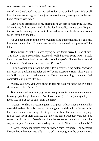curled into Greg's neck and gazing at the silver band on his finger. "We've all been there to some degree. Dave just came out a few years ago when he met Greg. You're safe here."

Alex's hand drifts down to my bicep and he gives me a reassuring squeeze. Where is my fucking beer? And like the devil himself, Jamie is back. He puts the wet bottle on a napkin in front of me and turns completely around so his ass is leaning on the table.

"If you need a tour of the city or want to hang out sometime, just call me. Lexy has my number…" Jamie pats the side of my cheek and pushes off the table.

Remembering what Alex was saying before Jamie arrived, I nod at him. "I'm okay. This is sorta what I expected. Well, better in some ways," I look back to where Jamie is taking an order from the lap of a biker on the other end of the room, "and worse in others. But it's cool."

Taking a quick drink from the bottle, I'm already feeling better. Knowing that Alex isn't judging me helps take off some pressure to fit in. I know that I don't fit in yet but I really want to. More than anything, I want to feel comfortable in places like this.

"Okay, you two, you were about to tell me your big news when Shane showed up so let's hear it."

Both men break out toothy grins as they prepare for their announcement. Looking up to Greg, Dave nods. "We have a surrogate," Greg says quickly. He looks like he's about to burst from the chair.

"Seriously? That's awesome, guys. Congrats." Alex stands up and walks around the table. He pulls Greg up into a hug and holds him for a few seconds. I see him whisper something into Greg's ear but I can't hear what he's saying. It's obvious from their embrace that they are close. Probably very close at some point in the past. Dave is watching the exchange lovingly so it must be way in the past. Alex leans down to hug him as well. "Who's the lucky lady?"

"Do you remember Marisa from our New Year's Eve party? The gorgeous blonde that is like ten feet tall?" Dave asks, jumping into the conversation.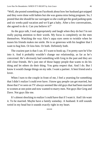"Well, she posted something on Facebook about how her husband got snipped and they were done with babies but she was gonna miss being pregnant. So, I posted that she should be our surrogate so she could get the good parking spots and six weeks paid vacation and we'd get a baby. After a few conversations, she agreed to do it. Can you believe it?"

As the guys talk, I nod appropriately and laugh when they do but I'm not really paying attention to their words. My focus is completely on the men themselves. Watching the way Alex's aqua eyes seem to twinkle when he teases his friends makes me smile. He is so generous with his laughter that I want to hug him. Or kiss him. Or both. Definitely both.

The craziest part is that I can. If I want to hook up, I'm pretty sure he'd be into it. And it probably wouldn't change our relationship, as far as he's concerned. He's obviously had something with Greg in the past and they are still close friends. He's just one of those happy people that wants to do his thing and let others do their thing. You gotta respect that. And I do. But I know it would change things on my side. I want a partner. A best friend *and* a lover.

When I turn to the couple in front of me, I feel a yearning for something that I didn't realize I could ever have. I know gay people can get married, but those that I've seen on TV always seemed like old guys that had been married to women at one point and now wanted to marry men. Not guys like Greg and Dave. Not guys like me.

It's almost shocking to realize I could have that if I want it. And I do want it. To be married. Maybe have a family someday. A husband. It still sounds weird in my head but it sounds exactly right in my heart.

\*\*\*\*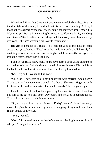# CHAPTER SEVEN

### *Alex*

When I told Shane that Greg and Dave were married, he blanched. Even in the dim light of the room, I could tell that his mind was spinning. At first, I thought he was upset by the idea. Maybe same-sex marriage hasn't made it to Wyoming yet? But as I'm watching his reaction to Flaming Jamie, and Greg and Dave's PDA, I realize he's not disgusted. He mostly looks fascinated by everyone. Like he's watching his favorite reality show.

His grin is genuine so I relax. He is just not used to this kind of open acceptance yet… but he will be. I know he needs time before he'll be ready for anything serious but the wheels are turning behind those sweet brown eyes. He might be ready sooner than he thinks.

I don't even realize how many hours have passed until Shane announces that he has to leave. Quickly signing my tab, I follow him out. His truck is in the back, and I walk next to him in silence until we get to his door.

"So, Greg and Dave really like you."

"Oh, yeah? They seem cool. I can't believe they're married. And a baby? That's… wow. I've never met a couple like them." Shane was fidgeting with his keys but I could sense a wistfulness in his words. That's a good sign.

Unable to resist, I reach out and place my hand on his forearm. I want to pull him to me but he's still tense. Obviously, he's not used to being touched. That makes me want to hold him even more.

"So, would you like to go to dinner on Friday? Just us?" I ask. He slowly moves his gaze from my hand, up my arm, stopping at my mouth and then finally settles on my eyes.

"Yeah, I would."

"Good." I smile widely, now that he's accepted. Pulling him into a hug, I whisper, "I'm glad you came."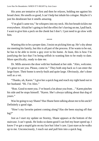His arms are tentative at first and then he relaxes, holding me against his broad chest. He smells so good, I can't help but inhale his cologne. Maybe it's just his deodorant but it smells amazing.

"I'm glad I came too," he whispers into my neck. His hot breath tickles me everywhere. Afraid he's going to feel the effect he's having on me, I pull back. I want to give him a peck on the cheek but I don't. I just need to go slow with him.

\*\*\*\*

Wanting this to be a proper date, I insist on picking him up. He's shy about me meeting his family, but this is all part of the process. If he wants to be out, he has to be able to invite a guy over to his home. At least, this is how I'm justifying the fact that I'm being selfish in wanting him to be ready to date. More specifically, ready to date *me*.

Dr. Mills answers the door with her husband at her side. "Alex, welcome. It's great to see you. Please, come in." They both step back so I can enter the large foyer. Their home is newly-built and quite large. Obviously, she's done well as a vet.

"Thanks, uh, Karen." I give her a quick hug and reach my right hand out to her husband. "Hi. I'm Alex."

"Ron. Good to meet you. I've heard a lot about you from…" Karen pinches his side and he stops himself. "Karen. She's always talking about that dog of yours."

Was he going to say Shane? Has Shane been talking about me to his uncle? Definitely a good sign.

"How's my favorite patient coming along? Has she been staying off that leg?"

Just as I start my update on Stormy, Shane appears at the bottom of the staircase. I can't speak. He looks so damn good I can feel my heart speed up. I know I've got a stupid grin on my face but I don't care. I just stare as he walks up to me. Unconsciously, I reach out and pull him into a quick hug.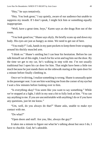"Hey," he says tentatively.

"Hey. You look great," I say quietly, aware of our audience but unable to suppress my mouth. If I don't speak, I might lick him or something equally inappropriate.

"Well, have a great time, boys," Karen says as she drags Ron out of the room.

"You look good too," Shane says shyly. He briefly scans up and down my body. His eyes are just as hungry as mine. We need to get out of here.

"You ready?" I ask, hands in my pant pockets to keep them from wrapping around his thickly muscled arm.

"I think so." Shane's smiling but I can hear his hesitation. Before he can talk himself out of this night, I reach for his wrist and tug him out the door. By the time we get to my car, he's walking in step with me. I'm not usually traditional but I open his car door for him. That might have been a little too much because he just stands there on the sidewalk staring at the open door for a minute before finally climbing in.

Once we're driving, I realize something is wrong. Shane is unusually quiet in the passenger seat. I can see him watching me from the corner of my eye but I wait a few minutes before looking over to him.

"Is everything okay? You seem like you want to say something." While we're stopped at a light, I shift in my seat a bit to fully look at him. "You can say anything to me. If you are uncomfortable with anything I do or if you have any questions, just let me know."

"Um, well, do you always do that?" Shane asks, unable to make eye contact with me.

"Do what?"

"Open doors and stuff. Are you, like, always the guy?"

It takes me a minute to figure out what he's talking about but once I do, I have to chuckle. God, he's adorable.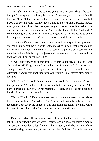"Yes, Shane, I'm always the guy. But, so is my date. We're both 'the guy' tonight." I'm trying to be funny but he hasn't relaxed yet so I know it's still bothering him. "I don't know what kind of experiences you've had, if any, but I don't go for the really femme guys. I like to be with men. Strong, tough, sweaty men. And I like to be strong and tough and sweaty too. But I asked you out, so I'm opening doors and picking up the check and all that good stuff." He's chewing the inside of his cheek so vigorously, I'm expecting to see a hole appear on the outside. Maybe that wasn't the right answer either.

"Is that what's bothering you or is there more to your question? I promise, you can ask me anything." I don't want to mess this up so I reach over and put my hand on his knee. It's meant to be a reassuring gesture but I can feel the muscles of his thigh through his jeans and I'm tempted to pull over and rip them off him. *Control yourself, man!*

"I was just wondering if that translated into other areas. Like, are you always the top?" His gorgeous face reddens, but I'm glad he feels comfortable enough to ask. And even more glad that he is thinking that far into the future. Although, hopefully it's not *that* far into the future. Like, maybe after dinner tonight?

"Oh, I see." I should have known that would be a concern if he is inexperienced. "Actually, no. I can switch, but I'm usually a bottom." The light is green so I can't watch his reaction as closely as I'd like but I can see his shoulders relax back into the seat.

"Really? Hunh…" He's quiet after that so I give him the rest of the ride to think. I can only imagine what's going on in that pretty little head of his. Hopefully there are some images of him slamming me against my headboard in there. I know that's what I'm picturing through the silence.

\*\*\*\*

Dinner is perfect. The restaurant is one of the best in the city, and once you take that first bite, it's obvious why. Reservations are usually booked a month out, but the owner does a lot of work with my agency and when I ran into him on Wednesday, he was happy to get me onto their VIP list. The table was in a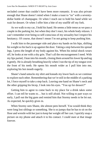secluded corner that couldn't have been more romantic. It was also private enough that Shane doesn't mind when I make a toast to "us" with a seventydollar bottle of champagne. Or when I reach out to hold his hand while we wait for dessert. Or when I offer him a bite of my soufflé off my fork.

As we walk to my car, I hold his hand. He seems a little tense as we pass a couple in the parking lot, but when they don't react, his whole body relaxes. I can't remember ever being so self-conscious of my sexuality but I respect his hesitancy. Of course, that doesn't mean I'm not going to keep pushing him.

I walk him to the passenger side and place my hands on his hips, shifting his weight so his back is up against the door. Taking a step between his spread legs, I press the length of my body against his. When his initial shock wears off, he looks at me with a shy grin. That's all the encouragement I need. With my lips parted, I lean into his mouth, closing them around his lower lip and tug it gently. He is already breathing heavily when I run the tip of my tongue over the front of his teeth. He opens his mouth wider as I pull him into me, exploring his hot mouth eagerly.

Shane's hand untucks my shirt and kneads my lower back as we continue to explore each other. Remembering that we're still in the middle of a parking lot, I force myself to take a step back. Leaving one hand on Shane's neck and the other gripping his bicep, I look into his eyes. "You up for dessert?"

Getting him to agree to come back to my place for a drink takes some effort. I can tell he wants to… but is still afraid. Not willing to part ways so early, I pull out the big guns and remind him that Stormy needs to be let out. As expected, he quickly gives in.

When Stormy sees Shane, she almost pees herself. You would think they were long lost siblings or something. She is so jumpy that he has to sit on the floor and wrestle with her just to keep her weight off her cast. I quickly snap a picture on my phone and attach it to his contact. I could stare at that image forever.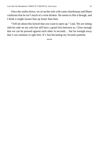Once she settles down, we sit on the sofa with some chardonnay and Shane confesses that he isn't much of a wine drinker. He seems to like it though, and I think it might loosen him up faster than beer.

"Tell me about this kennel that you want to open up," I ask. We are sitting side-by-side on my sofa but still have a good foot between us. Close enough that we can be pressed against each other in seconds… but far enough away that I can continue to ogle him. It's fast becoming my favorite pastime.

\*\*\*\*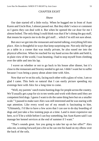# CHAPTER EIGHT

#### *Shane*

Our date started off a little rocky. When he hugged me in front of Aunt Karen and Uncle Ron, I almost passed out. But they didn't wince or comment so I guess they can deal with it. But when he opened the car door for me I almost bolted. The only thing I could think was that if he's doing the guy stuff, that means he expects me to do the girl stuff… which I'm still not sure about.

But once we got into the restaurant and started talking, everything fell into place. Alex is thoughtful in ways that keep surprising me. Not only did he get us a table in a corner that was totally private, he also eased me into the physical affection. When he reached for my hand across the table and held it, in plain view of the world, I was beaming. I had to stop myself from climbing over the table and into his lap.

I waver on whether or not to go back to his house after dinner, but it's close to the restaurant and Stormy needed to get out. I didn't want her to suffer because I was being a pussy about alone time with Alex.

Now that we're on his sofa, facing each other with a glass of wine, I am so glad I came. This feels so natural that I can easily picture spending my evenings here with Alex for a long time to come.

"Well, my parents' ranch trains hunting dogs for people across the country. We'll usually get a pup for six to ten weeks and work with them until they are competent bird dogs. I guess I want to do the same thing here but on a smaller scale." I paused to make sure Alex was still interested and he was staring with rapt attention. Like every word out of my mouth is fascinating to him. "Ultimately, I'd like to have a few acres that I can use to do day boarding of dogs and just take a few training pups at a time. Land is more expensive out here, so it'll be a while before I can buy something, but Aunt Karen said I can manage her kennel services at the end of summer if I want."

"That's sounds great. Are you going to take her up on her offer?" Alex asks me, scooting forward just a bit so he can rest his hand on my elbow over the back of the sofa.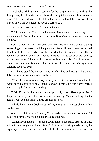"Probably. I didn't want to commit for the long term in case I didn't like living here, but I'm starting to think this might be a good place to settle down." Feeling suddenly bashful, I tuck my chin and look for Stormy. She's curled up on her bed across the room, passed out.

"Is that what you want to do? Settle down?"

"Well, eventually. I just mean this seems like as good a place as any to set up my kennel. And with referrals from Aunt Karen's office, it makes sense to be here."

Looking over to Alex, his eyebrows are furrowed. He's contemplating something that he doesn't look happy about. Damn. I knew those words would be a turnoff, but I have to be honest about what I want. No more lying. That's what I promised myself when I moved here and it has to start now. Of course, that doesn't mean I have to disclose everything yet… but I will be honest about any direct questions he asks. I just hope he doesn't ask *that* question anytime soon. Or ever.

Not able to stand the silence, I reach my hand up and rest it on his bicep. His compact but very well-defined bicep.

"What about you? Where do you see yourself in five years?" Whether he wants to talk about it or not, I need to know. If this isn't going anywhere, I need to stop before we get too deep.

"Well, I'm a bit older than you, so I probably have different priorities. I hope that in five years I'll be in a serious relationship. Maybe thinking about a family. Maybe get Stormy a little brother or sister."

A little bit of wine dribbles out of my mouth as I almost choke at his confession.

A serious relationship? A family? "Human brother or sister… or canine?" I ask with a smirk. Maybe he's just messing with me.

"Either. Both maybe." He scoots toward me so his calf is pressed against mine. Even through our clothes, I can feel his heat. Looking into his eyes, the aqua is just a tiny border around solid black. He is just as aroused as I am. I'm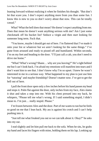leaning forward without realizing it when he finishes his thought. "But don't let that scare you. I don't expect anything more from you than some fun. I know this is new to you so don't worry about that now. This can be totally casual"

What? What the hell does that mean? He doesn't expect anything from me. Does that mean he doesn't want anything serious with me? Am I just some checkmark off his bucket list? Seduce a virgin and then start looking for someone long term. Fuck that.

"You know, maybe I should get out of here. I'm flattered that I've made it onto your list or whatever but we aren't looking for the same things." I've gone from aroused and ready to pissed off and humiliated. Within seconds, I'm on my feet and heading to the door. "I'll just call a cab, you don't need to drive me home."

"What? What's wrong? Shane… why are you leaving?" He's right behind me but I can't look back. I'm afraid my emotions will manifest into tears and I don't want him to see that. I don't know why I'm so upset. I knew he wasn't interested in me in a serious way. What happened to my plan to just use him for "tutoring" and maybe friendship? Doesn't matter now. I've got to get the hell out of here.

I pull the front door open only a few inches before his hand passes my head and stops it. Palm flat against the door, only inches from my face, Alex slams it shut and takes a step into me. With his chest pressed into my back, he whispers, "Please tell me what's wrong. If I said something stupid, I didn't mean to. I'm just... really stupid. Please."

I'm frozen between Alex and the door. Part of me wants to run but he feels so good on me that I lean back. My ass is against his crotch and I can't help pushing into it.

"Just tell me what freaked you out so we can talk about it. Okay?" he asks into my ear.

I nod slightly and let him pull me back to the sofa. When he sits, he grabs my hand and laces his fingers with mine, holding them on his lap. Looking up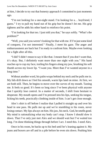at him, I decide to try out that honesty approach I committed to just moments ago.

"I'm not looking for a one-night stand. I'm looking for a… boyfriend, I guess." I try to pull my hand out of his grip but he doesn't let me. His grip tightens and he adds his other hand to reinforce his point.

"I'm looking for that too. I just told you that," he says softly. "What's the problem?"

"Well, you said you weren't looking for that with me. If I'm just some kind of conquest, I'm not interested." Finally, I meet his gaze. The anger and embarrassment are back but I'm ready to confront him. Maybe even looking for a fight after all this.

"I did? I didn't mean to say it like that. I meant that if you don't want that, it's okay. But, I definitely want more than one night with you." His hand reaches up to cup my face, trailing his fingers along my jaw, brushing his soft thumb across my lower lip. "I want you. More than I've wanted anyone in a long time."

Without another word, his palm wraps behind my neck and he pulls me in. My lids drift down as I feel his smooth, warm lips land on mine. At first, we are both still. Then, he begins to move over the curves of my mouth. Tasting me. It feels so good. It's been so long since I've been physical with anyone that I quickly lose control. In a matter of seconds, I shift from hesitant to desperate. My mouth opens and I'm pressed into his lips, seeking his tongue, licking his teeth, practically climbing inside of him. I can't get close enough.

Alex's shirt is off before I realize that I pulled it straight up and over his head in one pass. He pulls me up and we're stumbling to his room, never losing contact. My lips always on him. His jaw, his neck. God, he smells good. My mind is rationalizing what my body can't stop. I know I should slow it down. That I've only just met Alex and we should wait but I've waited too long. I'm done thinking things through before I act. I need this. I need Alex.

Once in his room, he backs up to his bed until he's leaning against it. My jeans and boxers are off and in a pile before he even sits down. Pushing him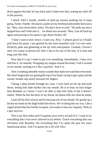down against the bed, he lays back and I climb over him, tearing my shirt off in the process.

I attack Alex's mouth, months of pent-up tension pushing me to keep going. Faster. Harder. He places a palm on my forehead and pushes back just a bit. "Hey, slow down there, turbo. We don't have to rush." He pulls me into a languid kiss and I melt into it… for about two seconds. Then, I am all fired up again and pawing at his pants to get those fuckers off.

"I don't want to slow down. I want you. *Now*," I almost growl as I finally pull down his pants. I am greeted by the most beautiful cock I've ever seen. Perfectly pink and glistening at the tip with anticipation. Granted, I haven't seen very many in person but Alex's has to be one of the best. It is lean and long, just like him.

Now that it's out, I need to put it in something. Immediately. I lean over and kiss it. So smooth. Wrapping my tongue around the head, I roll it around in my mouth, sucking on it like a pacifier. And it is.

Alex is making adorable moany sounds that make me want him even more. His short fingernails are grating the top of my head, trying to get a grip, but the sweaty strands slip easily between his fingers.

Taking a deep breath through my nose, I suck hard on his tip and push down, letting him slide further into my mouth. He is at least an inch longer than Brandon so I know I won't be able to take him fully in but it doesn't matter. When he hits the back of my throat, his thrust tells me what he needs.

I pull off his dick slowly and let him pop out of my mouth. He grinds up a bit but my hand on his thigh holds him down. We're doing this my way. Like a caged animal that has finally escaped, I am ready to lose my virginity. Well, to a guy anyway.

This *is* my first rodeo and I'm gonna savor every second of it. I want to try everything that I was never allowed to try before. Touch everything that was off-limits with Brandon. Do everything that I've spent the past ten years fantasizing about. And I'm gonna do it all with Alex.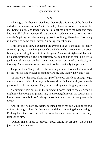### CHAPTER NINE

#### *Alex*

Oh my god, this boy can give head. Obviously this is one of the things he did when he "messed around" with his buddy. I want to come but he won't let me. Using his lips and tongue and teeth to get me just to the edge and then backing off. I almost wonder if he's doing it accidentally, not realizing how close he's getting me before changing positions. It might have been frustrating if it wasn't so damn sexy watching him experiment on me.

This isn't at all how I expected the evening to go. I thought I'd totally screwed up any chance I might have had with him when he went for the door. My stupid mouth got me into trouble again. After we straightened that out, he's been unstoppable. But I'm definitely not asking him to stop. I did try to get him to slow down but he's been slowed down, or stalled completely, for too long. As soon as he knew I was serious, he practically jumped me.

I hope he doesn't regret this in the morning because I want all of him. And by the way his fingers keep inching toward my ass, I know he wants it too.

"Is this okay," he asks, taking his lips off my cock only long enough to get the words out. He's rolling my balls around in his hand with just enough pressure to make me squirm. They're full and tight and begging to release.

"Mmmmm." I'm so lost in the moment, I don't want to speak. Afraid I might say the wrong thing again, I try to encourage him with the sounds that I like to hear. Sounds I don't always make but can't seem to suppress with Shane.

"Ah, ah, ah," he coos against the seeping head of my cock, pulling off and trailing his tongue along the dorsal vein and then continuing down my thigh. Pushing both knees off the bed, he leans back and looks at me. I'm fully exposed to him.

"Please, Shane. I need to feel you," I beg. Lifting my ass up off the bed, he just stares for a moment.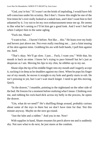"God, you're hot." If I wasn't on the brink of imploding, I would have felt self-conscious under his scrutiny. But I don't. I know this might be one of the first times he's ever really looked at a naked man, and I don't want him to feel ashamed by it. I try not to let my own embarrassment tense me up. He seems to like what he's seeing so I'll let him get a good look. And I won't feel bad when I subject him to the same ogling.

"Fuck me, Shane."

"I want to but… I haven't before. Not like… this." He leans over my body and hovers just above me. Not even really touching me… just a faint teasing of his skin against mine. Grabbing his ass with both hands, I pull him against me, hard.

"That's okay. We'll go slow. I just… Fuck, I want you." With that, his mouth is back on mine. I know he's trying to pace himself but he's just as desperate as I am. Moving his lips to my chin, he nibbles up to my ear.

Shane slips the tip of his middle finger into my mouth and I eagerly accept it, sucking it in deep as he shudders against my chest. When he pops his finger out of my mouth, he moves it straight to my hole and gently starts to rub. He isn't pressing in yet, but I can't wait much longer. I need to get this moving. Quick.

"In the drawer," I mumble, pointing to the nightstand on the other side of the bed. He freezes for a moment before realizing what I mean. Climbing over me, and rubbing his rock-hard dick across my belly in the process, he opens the drawer.

"Um, what do we need?" He's shuffling things around, probably curious about some of the toys in there but we don't have time for that. Not this minute anyway. Maybe on the next go-round.

"Just the lube and a rubber." And you in me. Now!

With supplies in hand, Shane resumes his perch above me and is suddenly shy. Not sure what to do next, he just stares at the condom.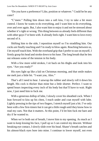"Do you have a preference? Like, position or whatever." Could he be any cuter?

"C'mere." Pulling him down into a soft kiss, I try to take a bit more control. I know he wants to do everything, and I want him to do everything, over and over again. But, I also want him to enjoy it and not be stressed about whether it's right or wrong. This thing between us already feels different than with other guys I've been with. It already feels right. I want him to love every second of it.

Shifting him to the side, I reposition myself so I'm straddling him. Our cocks are finally touching and I'm ready to blow again. Reaching between us, I let myself touch him. With the overhand grip that I prefer to use on myself, I firmly grasp his head and stroke down to his base. The long breath that he lets out releases some of the tension in his body.

With a few more solid strokes, I sit back on his thighs and look into his eyes. "Are you ready?"

His eyes light up like a kid on Christmas morning, and that smile makes me melt just a little bit. "I want you, Alex."

That's all I need to hear. I unwrap the rubber and slowly roll it down his length. His cock is thicker than mine but a little shorter. Perfect. I want to spend hours inspecting every inch of his body but that'll have to wait. Right now, I just need him to fuck me.

With a generous dollop of lube, I slowly cover his sheathed cock. When I lean forward to kiss up his chest, I reach under and coat myself with lube. Lightly pressing in the tips of two fingers, I stretch myself just a bit. I've only been with a few first-timers but it can get a little rough until they know how to read my cues. Not that it matters. At this point, I'd let him fuck me bare and dry if he wanted to.

When we're both out of breath, I move him to my opening. As much as I want to keep kissing his face, I pull up so I can control my descent. Without breaking eye contact, I slowly slide over his head. Shane's breath catches and his almost-black eyes bore into mine. I continue to lower myself, not even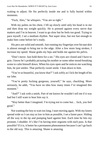waiting to adjust. He fits perfectly inside me and is fully buried within moments.

"Fuck, Alex," he whispers. "You are so tight."

With my palms on his chest, I lift up slowly until only his head is in me and then drop my weight quickly. He is pressed against every nerve that matters and I'm in heaven. I want to go slow but he feels too good. Trying to pace myself, I set a medium rhythm. Not super slow, but not fast enough to make him come before he's ready.

His pecs are solid and smooth. Just running my fingertips over his taut skin is almost enough to bring me to the edge. After a few more long strokes, I increase my speed. Shane grabs my hips and holds me against his pelvis.

"Don't move. Just hold there for a sec." His eyes are closed and I have to grin. I know he's probably picturing his mother or some other mood-breaking scene to calm himself down. When his eyes open and he notices me watching him, he just smiles. That perfectly sweet smile. I lean down to him.

"You're so beautiful, you know that?" I ask softly as I lick the length of his ear lobe.

"You're pretty fucking gorgeous, yourself," he says, chuckling. More seriously, he adds, "You have no idea how many times I've imagined this moment."

"And?" I ask with a smirk. Part of me knows he wouldn't tell me if it was bad but I still want to hear him say it.

"Way better than I imagined. I'm trying not to come but… fuck, you feel good."

Not wanting the boy to wait too long, I start moving again. With my knees spread wide so I can stay as low to him as possible, I set a faster pace. Sliding all the way to the tip and pumping hard against him. Each time he hits my prostate, I shudder. It's like I'm having mini orgasms with each pass. Is that possible? If it is, it better be a permanent phenomenon because I can't go back to the old way. This is amazing. Shane is amazing.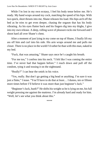While I'm lost in my own ecstasy, I feel his body tense below me. He's ready. My hand wraps around my cock, matching the speed of his hips. With two quick, short thrusts into me, Shane releases his load. His hips arch off the bed as he tries to get even deeper, chasing the orgasm that has his body vibrating. As his eyes flutter back and his fingers dig into my thighs, I give into my own release. A deep, rolling wave of pleasure rocks me forward and I shoot hard all over Shane's chest.

After a moment of just lying in my come on top of Shane, I finally lift my ass off him and curl into his side. His arm wraps around me and pulls me closer. There is no place in the world I'd rather be than with this man, naked in my bed.

"Fuck, that was amazing," Shane says once he's caught his breath.

"For me too," I confess into his neck. "I felt like I was coming the entire time. I've never had that happen before." I reach down and pull off the condom, tying it and tossing it on the nightstand.

"Really?" I can hear the smirk in his voice.

"Yes, really. But don't go getting a big head or anything. I'm sure it was just a fluke," I tease. "You'll have to do that at least… I dunno, ten or fifteen more times before I'll believe it was more than just beginner's luck."

"Beginner's luck, hunh?" He shifts his weight so he is lying on me, his full weight pressing me against the mattress. I'm already hard and ready for him. "Well, let's see what you think about this."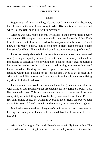## CHAPTER TEN

#### *Shane*

Beginner's luck, my ass. Okay, it's true that I am technically a beginner, but I knew exactly what I was doing to Alex. His face is so expressive that when I hit the right spot, I knew it immediately.

After he was fully relaxed on me, I was able to angle my thrusts so every one counted. His weeping cock on my belly was proof enough of that. Each time I pounded into him, it seemed to thicken just a little bit more. When I knew I was ready to blow, I had to hold him in place. Deep enough to keep him stimulated but still enough that I could regain my loose grip of control.

I was just barely able to hold out for a few more minutes once he started riding me again, quickly stroking me with his ass in a way that made it impossible to concentrate on anything else. I could feel my orgasm building but when he reached for his cock and started jerking it, it was so hot that I knew I was done. Holding him down, I gave a few more thrusts before I was erupting within him. Pushing my ass off the bed, I tried to get as deep into Alex as I could. His muscles, still contracting from his release, were milking my dick of all that I had to offer.

I knew intercourse would be awesome but nothing I'd ever done alone or with Brandon could possibly have prepared me for how it felt to be with Alex. Not even with her. This was gentle and hot and… intimate. Alex was completely open to letting me have his body in a way I wasn't sure I'd ever feel comfortable doing. Yet with him, everything feels right. Like we've been doing it for years. When I came, I could feel every nerve in my body light up.

Maybe that was some kind of beginner's luck because I can't imagine ever leaving this bed again if that could be repeated. Not that I ever *want* to leave this bed.

\*\*\*\*

After that first night, Alex and I have been practically inseparable. The excuses that we were using to see each other every day were so ridiculous that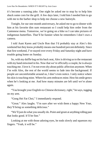it's become a running joke. One night he asked me to stop by to help him shuck some corn for the grill. A few days later, I told him I needed him to go with me to the barber shop to help me choose a new hairstyle.

Tonight, for our one-month anniversary, he asked me to go to dinner with him at his favorite dim sum restaurant so I could help him order from the Cantonese menu. Tomorrow, we're going on a hike so I can take pictures of indigenous butterflies. That'll be funnier when he remembers I don't own a camera.

I told Aunt Karen and Uncle Ron that I'd probably stay at Alex's this weekend but they know *probably* means one hundred percent definitely. Since that first weekend, I've stayed over every Friday and Saturday night and have trouble going home on Sunday.

So, with my duffle bag on his back seat, Alex is driving us to the restaurant with my hand entwined in his. Now that we're officially a couple, he is always touching me. I love it. I'm not even shy about public affection anymore. When I'm with Alex, the rest of the world seems to fade into the background. If people are uncomfortable around us, I don't even notice. I only notice where his skin is touching mine. Where his arm embraces mine. How his smile grows when he's looking at me. And how many minutes are left until we're alone again.

"You brought your English-to-Chinese dictionary, right," he says, tugging on my arm.

"Gong Hei Fat Choi," I immediately respond.

"Great." Alex laughs. "I'm sure after we wish them a happy New Year, they'll bring us something delicious."

"We'll just do what you usually do. Point and grunt at anything rolling past that looks good. It'll be fine."

Looking at me with those adoring eyes, he nods slowly and squeezes my fingers. "Yeah, it will be."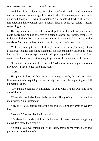And that's how it always is. We joke around and act silly. And then there are these moments when we get lost in each other. I've seen my aunt and uncle do it and thought it was just something old people did when they were remembering their younger years. But now that I'm doing it, I realize it means something more.

Having never been in a real relationship, I didn't know how quickly one could go from being just attracted to a person to head-over-heels, completely in love with them. But, in only a few weeks, I've done it. I haven't said the words to Alex, and he hasn't said them to me, but that's how I feel.

Without meaning to, we rush through dinner. Everything tastes great, as usual, but Alex has something planned at his place that he was anxious to get back to. Based on past experience, I had a pretty good idea of what his plans would entail and I was just as antsy to get out of the restaurant as he was.

"Can you wait out here for a second?" Alex asks when he pulls into his driveway. "I need to get something ready."

"Sure."

He opens his door and then ducks back in to grab me by the neck for a kiss. It was meant to be a quick peck but quickly turned into the beginning of a full on mack session.

"Hold that thought for two minutes," he begs when he pulls away and hops out of the car.

When Alex walks back out, he is beaming. The goofy grin on his face has me mirroring his excitement.

"Ready?" I ask, getting out of the car and stretching my arms above my head.

"Are you?" he says back with a smirk.

"I've been half hard all night so if whatever is in there involves you getting naked, I'm more than ready."

"Is that all you ever think about?" he teases, grabbing me by the bicep and pulling me onto the porch.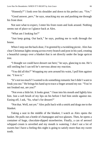"Honestly?" I look over his shoulder and down to his perfect ass. "Yes."

"Good answer, perv," he says, smacking my ass and pushing me through his front door.

Not sure what to expect, I enter his front room and look around. Nothing seems out of place so I glance back at Alex.

"What am I looking for?"

"Just keep going. Out back," he says, pushing me to walk through the house.

When I step out the back door, I'm greeted by a twinkling picnic. Alex has clear Christmas lights strung across every branch and post in his yard, creating a beautiful canopy over a blanket that is set directly under the large apricot tree.

"I thought we could have dessert out here," he says, glancing to me. He's still smiling but I can tell he's nervous about my reaction.

"You did all this?" Wrapping my arm around his waist, I pull him against me. "I love it."

"It's not too much? I wanted to do something romantic but I didn't want to freak you out." He brings his hand up to trace a finger around my ear. "You're not freaked out, are you?"

"Not even a little bit. It looks great." I lean into his mouth and lightly kiss him. Just a soft brush of my lips on his before I feel him smile against me. Easing off, I ask, "So, what's for dessert?"

"Not that. Well, not yet." Alex pulls back with a smirk and drags me to the blanket.

Taking a seat in the middle of the blanket, I watch as Alex opens the basket. He pulls out a bottle of champagne and two glasses. Then, he opens a container of huge, chocolate-dipped strawberries. Finally, a can of aerosol whipped cream is unveiled and my mouth is watering. I don't eat a lot of sweets but I have a feeling this night is going to satisfy more than my sweet tooth.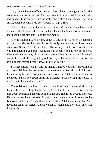"So, I wanted to start off with a toast," he explains, opening the bottle. The cork pops, but no fizz is lost. Alex has done this before. While he pours the champagne, I sneak a peek into the basket and realize it isn't empty. There is a small, black box with a red bow around it. A gift. Shit.

"What is that? I didn't know we were doing gifts, Alex." I feel like a total douche. I should have asked what he had planned but it never occurred to me that I should get him something for one month.

"No, it's nothing. Don't worry about it. Please, just… here." He hands a glass to me and raises his own. "I know it's only been a month but I really care about you, Shane. A lot. I know this is all new for you and I don't want to rush you into anything you aren't ready for but, actually, this is new for me too. I've never felt this way about anyone before. Even the guys that I thought I was in love with, I'm beginning to think maybe I wasn't. Because, now I'm thinking that maybe I really am… in love with you."

I'm speechless. Alex just told me that he's in love with me. He loves me. Is that possible? Does he really feel about me the way I feel about him? I know he's waiting for me to respond in some way but it takes me a minute to compose myself. My throat burns but I manage to finally find my voice. "I think I'm in love with you too."

The relief and happiness on Alex's face is evident. He was afraid to be honest about his feelings but he did it. I know that I'll need to be honest with him about everything at some point but not yet. This is too good to mess up. He is more than I ever hoped to find and I'm not sure how he'll react when he finds out what I did. Tonight that doesn't matter. All that matters is that Alex loves me. And I love Alex. And we've got all weekend to show each other just how much.

\*\*\*\*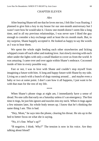# CHAPTER ELEVEN

## *Alex*

After hearing Shane tell me that he loves me too, I felt like I was floating. I planned to give him a key to my house for our one-month anniversary but I wasn't sure how he would take it. I know one month doesn't seem like a long time, and in all my previous relationships, I was never sure I liked the guy enough to consider a key exchange until at least the six month mark. But, to my surprise, Shane happily accepted it. He looked as happy to say the words as I was to hear them.

We spent the whole night feeding each other strawberries and licking whipped cream off each other and making love. Just slowly moving with each other under the lights with only a small blanket to cover us from the world. It was amazing. I came over and over again within Shane's embrace. Cocooned inside of him in every possible way.

Fast or not, I was in love with Shane and couldn't stop myself from imagining a future with him. A long and happy future with Shane by my side. Living on a ranch with a bunch of dogs running around… and maybe even a baby or two at some point. I don't care how it all happens, I just want to be with that man for the rest of my life.

\*\*\*\*

When Shane's phone rings at eight am, I immediately have a sense of dread. No one calls that early on a Saturday unless it's an emergency. The first time it rings, he just hits ignore and nuzzles into my neck. When it rings again a few minutes later, his whole body tenses up. I know that he's thinking the same thing I am. This is bad.

"Hey, Mom," he says into the phone, clearing his throat. He sits up in the bed to better focus on what she is saying.

"No, it's fine. What's up?"

"B negative, I think. Why?" The tension is now in his voice. Are they talking about blood?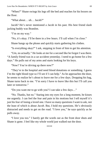"When?" Shane swings his legs off the bed and reaches for his boxers on the floor.

"What about… uh… Jacob?"

Jacob? He's never mentioned a Jacob in his past. His best friend slash jacking buddy was Brandon.

"I'm on my way."

"No, it's okay. I'll be there in a few hours. I'll call when I'm close."

Shane hangs up the phone and quickly starts gathering his clothes.

"Is everything okay?" I ask, stepping in front of him to get his attention.

"Um, no actually." He looks at me for a second like he forgot I was there. "A family friend was in a car accident yesterday. I need to go home for a few days." He pulls out of my arms and starts looking for his keys.

"Now? You're driving up there now?"

"They're in the hospital and need blood donations or something. I guess I'm the right blood type so I'll see if I can help." As he approaches the door, he seems to realize he's about to leave me for a few days. Dropping his bag, Shane turns back to me. "I'm sorry I have to leave like this but I'll call you later or tomorrow."

"Do you want me to go with you? I can take a few days…"

"No. Thanks, but no." Staring into my eyes for a long moment, he kisses me urgently. I can feel the fear and pain in his motions but I tell myself it's just his fear of losing a loved one. I have so many questions I want to ask, not the least of which is about *Jacob*. But, I hold my questions. He's obviously distracted and needs to get on the road. "I love you," he says quickly as he pulls away.

"I love you too." I barely get the words out as the front door shuts and Shane is gone. I feel like my whole world just walked out the door.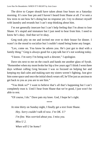The drive to Casper should have taken about four hours on a Saturday morning. It's now four pm and I haven't heard from Shane at all. I've sent a few texts to see how he's doing but no response yet. I try to distract myself with laundry and errands but I can't stop thinking about him.

I'm not generally insecure but I can't help feeling that I'm about to lose Shane. It's stupid and immature but I just need to hear from him. I need to know he's okay. And that we're okay.

Greg took pity on me and invited me over to their house for dinner. I wasn't in the mood to socialize but I couldn't stand being home any longer.

"Lex, come on. You know he adores you. He's just got to deal with a family thing." Greg is always good for a pep talk but it's not working today.

"I know. I'm sorry I'm being such a downer," I apologize.

Dave sits next to me on the couch and hands me another glass of Syrah. "Remember when my mom broke her hip a few years ago? I think I went three days without calling Greg because I was so focused on helping her and keeping my dad calm and making sure my sisters weren't fighting. Just give him some space and once the initial shock wears off, he'll be just as anxious to get back to you as you are to see him."

"You think so?" I want to believe that's all that's happening but I can't completely trust it. Until I hear from Shane that we're good, I just won't be able to rest.

"Of course, I do." Dave pats my knee. God, I hope he's right.

\*\*\*\*

At nine thirty on Sunday night, I finally get a text from Shane.

*Hey. Sorry couldn't talk til now. I'm OK. U? I'm fine. Was worried about you. I miss you. Miss U 2. When will U be home?*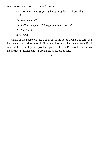*Not sure. Got some stuff to take care of here. I'll call this week. Can you talk now? Can't. At the hospital. Not supposed to use my cell.*

*OK. I love you.*

*Love you 2.*

Okay. That's not so bad. He's okay but in the hospital where he can't use his phone. That makes sense. I still want to hear his voice. See his face. But I can chill for a few days and give him space. He knows I'm here for him when he's ready. I just hope he isn't planning an extended stay.

\*\*\*\*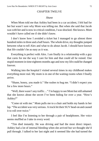# CHAPTER TWELVE

#### *Shane*

When Mom told me that Ashley had been in a car accident, I felt bad for her but wasn't sure why Mom was telling me. But when she said that Jacob was with her and is now in critical condition, I was shocked. She knows. Mom wouldn't have called me if she didn't know.

I don't know how I avoided a ticket but I managed to go almost three hundred miles in three and a half hours. The whole drive, my thoughts jumped between what to tell Alex and what to do about Jacob. I should have known that life couldn't be as easy as it was.

Everything is perfect with Alex. I am finally in a relationship with a guy that cares for me the way I care for him and that could all be ruined. One stupid moment in time eighteen months ago and now my life could be changed forever.

Walking into the hospital I visited several times in my childhood makes everything more real. My mom is in one of the waiting rooms when I finally arrive.

"Shane, honey, you made it." She rushes to hug me. "I didn't expect you for a few more hours."

"Well, there wasn't any traffic…" I'm happy to see Mom but still ashamed that she knows about the secret I've been hiding for over a year. "How's Ashley?"

"Come sit with me." Mom pulls me to a chair and holds my hands in her lap. "The accident was very serious. A truck hit their SUV head-on and caused it to roll over twice."

I feel like I'm listening to her through a pair of headphones. Her voice seems muffled as I take in every word.

"Tim died instantly. He was driving and had the most direct impact. Ashley had a lot of internal bleeding when she arrived but we thought she'd pull through. I talked to her last night and it seemed like she had turned the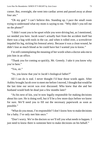corner. But, overnight, she went into cardiac arrest and passed away at about four am"

"Oh my god." I can't believe this. Standing up, I pace the small room trying to understand what my mom is saying to me. "Why didn't you tell me on the phone?"

"I didn't want you to be upset while you were driving but, as I mentioned, we needed you here. Jacob wasn't actually hurt from the accident itself but there was a bag with tools in the car, and when it rolled over, a screwdriver impaled his leg, nicking his femoral artery. Because it was a clean wound, he didn't lose as much blood as he could have but I wanted you to know."

I'm still contemplating the meaning of her words when a doctor asks me to join him in an office.

"Thank you for coming so quickly, Mr. Greenly. I take it you know why you're here."

"Yes, sir."

"So, you know that you're Jacob's biological father?"

All I can do is nod. I never thought I'd hear those words again. After Ashley brought Jacob over to meet me before I moved, I thought that would be the last time our secret was ever discussed. Who knew that she and her husband would both be dead just a few months later?

"As his next of kin, you're now legally responsible for making decisions about his care. He is doing well, but it'll be a few more days before we know for sure. We'll need you to fill out the necessary paperwork as soon as possible."

"What do you mean, I'm responsible? I don't know how to make decisions for a baby. I've only met him once."

"Don't worry. We're the doctors so we'll tell you what needs to happen. I just need to know there is someone here to make decisions on his behalf."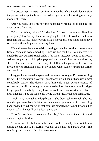The doctor says more stuff but I can't remember what. I nod a lot and sign the papers that are put in front of me. When I get back to the waiting room, my mom is still there.

"Are you ready to tell me how this happened?" Mom asks as soon as I sit down across from her.

"What did Ashley tell you?" If she doesn't know about me and Brandon getting caught by Ashley, then I'm not going to tell her. It wouldn't be fair to Brandon and Missy. I never would have believed that one night could have such a significant impact on so many lives.

We both knew there was a risk of getting caught but we'd just come home from a game and were amped up. Since we had the house to ourselves, we decided to stay out on the deck under a full moon instead of going to my room. Ashley stopped by to pick up her paycheck and when I didn't answer the door, she went around the back to see if my dad left it on the picnic table. I was on my knees with Brandon's dick in my mouth when Ashley turned the corner and caught us.

I begged her not to tell anyone and she agreed as long as I'd do something for her. She'd been trying to get pregnant for years but her husband was almost completely sterile. The doctors gave him only a ten percent chance of successfully fertilizing an egg so she agreed to keep her mouth shut if I'd get her pregnant. Thankfully, it only took one well-timed lay to do the deed. Never did I imagine I'd be the kid's only living parent just a year and a half later.

"Well." My mom takes a deep breath. "She didn't tell me much. She just said that you were Jacob's father and she wanted you to take him if anything happened to her. Of course, at that point we expected her to pull through, but now it looks like you'll be his legal guardian."

"I don't know how to take care of a baby," I say in a whine that I would only attempt with Mom.

"I know, sweetie, but your father and I are here to help. I can watch him during the day and you'll learn as you go. That's how all parents do it." She stands up and moves to the chair next to me.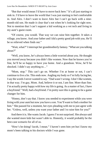"But that would mean I'd have to move back here." It's all just starting to sink in. I'd have to leave the world that I was just starting to feel comfortable in. And Alex. I don't want to leave Alex but I can't go back with a ninemonth-old son. He made it clear that's not when he's looking for right now. Not to mention that I can't support a kid working as a vet tech and living in my aunt's guest room.

"Of course, you would. That way we can raise him together. It takes a village, you know. And your father and I did a pretty good job with you. He'll be so relieved when finds out."

"Wait, what?" I interrupt her grandmotherly fantasy. "What are you talking about?"

"Well, you know, he's always been a little worried about you. He thought you moved away because you didn't like women. Now that he knows you're fine, he'll be so happy to have you home. And a grandson. Wow, he'll be shocked. I didn't say anything to..."

"Mom, stop." This can't go on. Whether I'm at home or not, I can't continue to live a lie. This ends now. Angling my body so I'm fully facing her, I say the words I never wanted to say. "Dad wasn't wrong. I don't like women, in that way. I'm gay, Mom. And, believe it or not, I am fine. More than fine. I'm actually pretty happy with how my life is going. As a matter of fact, I have a boyfriend." Well, had a boyfriend. I'm pretty sure this is going to be a game changer for him.

"Honey, don't say that. I know you needed to experiment while you were living with your aunt but now you have a son. You'll want to find a mother for him." She paused for a moment, her eyes pleading with me to just agree with her. "Unless, well, unless you want your father and I to raise him for you?"

And there it is. She wants Jacob. I guess I'm not surprised. She always said she wanted more kids but wasn't able to. Honestly, it would probably be the best-case scenario for all of us.

"How's he doing? Jacob, I mean." I haven't seen him yet but I know my mom's been talking to his doctors while I was gone.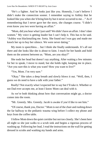"He's a fighter. And he looks just like you. Honestly, I can't believe I didn't make the connection sooner. I remember saying to Ashley that he looked like you when she'd bring him by but it never occurred to me…" As if remembering that I never gave her the story, she changes course. "I didn't even know you two were having an affair."

"Mom, did you hear what I just said? We didn't have an affair. I don't date women." My voice is getting louder but I can't help it. This has to be said. "Ashley was blackmailing me. Sorta. She found out I was gay and made me knock her up to buy her silence. We were never dating."

My mom is speechless… but I think she finally understands. It's all out there and she looks like she is about to faint. I reach for her hands and hold them on the armrest between us. "Mom, are you okay?"

She nods her head but doesn't say anything. After waiting a few minutes for her to speak, I move to stand, but she holds tight, keeping me in place. "Are you sure this is what you want? How you want to live?"

"Yes, Mom. I'm very sure."

"Okay." She takes a deep breath and slowly blows it out. "Well, then, I guess we do need to have a talk with your father."

Really? Not exactly what I expected her to say but I'll take it. Whether or not Dad ever accepts me, at least I know Mom can deal with it.

As we're both thinking about how that conversation might go, a doctor comes into the room.

"Mr. Greenly. Mrs. Greenly. Jacob is awake if you'd like to see him."

"Of course, thank you, Doctor." Mom is out of the chair and rushing down the far hallway to the pediatric trauma wing before I collect my phone and keys from the coffee table.

I follow Mom down the quiet corridor but not too closely. She's been here all night so she just walks to a scrub sink and begins a rigorous process of washing up. Following her lead, I read the instructions on the wall for getting dressed in scrubs and washing my hands and arms.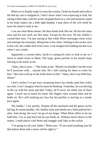When we're finally ready to cross the curtain, I hold my breath and walk to the bed my son is strapped to. I don't know what I was expecting to find, but seeing a little baby with his wrists strapped down in a crib and monitors taped to his body makes me a little light-headed. I stop short of the crib while he turns his head to look at me.

I can see what Mom means. He does kinda look like me. He has the same nose and his ears stick out like mine. Except for the eyes. He has Ashley's crystal-blue eyes. I'm just staring at him while Mom rearranges some wires and unstraps his restraints, lifting him to her chest. Settling in the rocker next to the crib, she cradles him in her arms. I can imagine her holding me that way when I was a baby.

Apparently a curious baby, Jacob is craning his neck to look at me so I move to stand closer to Mom. The large, green pacifier in his mouth stops moving as he stares at me.

"Jakey, this is your…" She looks at me. "Maybe we shouldn't use the word he'll associate with… anyone else. He's still waiting for them to come for him." Her eyes well up as she looks down at him. "Jakey, this is my little boy, Shane."

I don't realize I've got tears streaming down my cheeks until they tickle my chin. I can't imagine what he must be thinking. Yesterday, he was driving in the car with his mom and dad. Today, he'll never see either one of them again. I reach out to touch his hand. His fingers close around mine and he holds on. He's still studying my face but his pacifier is moving at a steady pace again.

"Hi, buddy," I say quietly. Despite all the machines and the gauze on his left leg, he seems healthy. His chubby arms and cheeks are a little pale but he's alert. And strong. He won't let go of my finger. When Mom offers to let me hold him, I try to step back but he just holds on. Without much choice in the matter, I trade places with Mom and snuggle with Jake in the rocker.

"I'm going to call your father," Mom says. "If you need anything, just hit that button there and a nurse will be right in."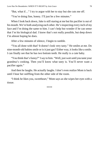"But, what if…" I try to argue with her to stay but she cuts me off.

"You're doing fine, honey. I'll just be a few minutes."

When I look back down, Jake is still staring at me but his pacifier is out of his mouth. We're both analyzing each other. He's inspecting every inch of my face and I'm doing the same to him. I can't help but wonder if he can sense that I'm his biological dad. I know that's not really possible, but deep down I'm almost hoping he does.

After a few minutes of silence, I begin to ramble.

"You all done with that? It doesn't look very tasty." He smiles at me. Do nine-month-old babies smile or is it just gas? Either way, it looks like a smile. I can finally see that he has two bottom teeth. He really is a cute baby.

"You think that's funny?" I say to him. "Well, just wait until you taste your grandma's cooking. Then you'll know what tasty is. You'll never want a pacifier again."

And then he laughs. He actually laughs. I don't even realize Mom is back until I hear her sniffling from the other side of the room.

"I think he likes you, sweetheart," Mom says as she wipes her eyes with a tissue.

\*\*\*\*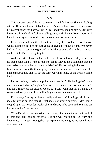### CHAPTER THIRTEEN

### *Alex*

This has been one of the worst weeks of my life. I know Shane is dealing with stuff but we haven't talked at all. He's sent a few texts to let me know he's okay but he won't answer when I call and keeps making excuses for why he can't call me back. I feel him pulling away and I hate it. Every morning I have to talk myself out of driving up to Casper just to see him.

If he's done with me then I want him to say it to my face. I don't know what's going on but I'm not just going to give up without a fight. I've never had this kind of reaction to guy and to feel this strongly after only a month… well, I think it's worth fighting for.

And who is this Jacob that he rushed out of my bed to see? Maybe he's an ex that Shane didn't want to tell me about. Maybe he's someone that he crushed on but never had a chance with before? Not knowing is the worst part. My brain is constantly thinking up ridiculous scenarios of what could be happening but they all play out the same way in the end. Shane doesn't come back.

Pathetic as it is, I made an appointment to see Dr. Mills, hoping she'll give me a hint about what's going on. Stormy's cast came off last week so she isn't due for a follow-up for another week, but I can't wait that long. I make up some weak story about Stormy limping and they let me come right in.

Fortunately, Stormy has healed really well and isn't limping at all. It's not ideal for my lie but I'm thankful that she's not limited anymore. After being cooped up in the house for weeks, she's so happy to be back in the car and on her way to the "treat people".

When Dr. Mills comes into the exam room, I know she knows that I'm full of shit and just looking for info. But she was rooting for us from the beginning, so I'm just hoping she'll take pity on me and give me something I can hang on to.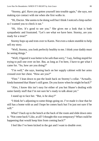"Stormy, girl. Have you gotten yourself into trouble again," she says, not making eye contact with me when she first walks in.

"Hi, Doctor. She seems to be doing well but I think I noticed a limp earlier so I wanted you to check it out."

"Hi, Alex. It's good to see you." She gives me a look that is both sympathetic and frustrated. "Let's see what we have here. Stormy, are you ready for a treat?"

Stormy hops up and trots over to Karen. Not even a token stumble to help sell my story.

"Well, Stormy, you look perfectly healthy to me. I think your daddy must be seeing things."

"Well, I figured it was better to be safe than sorry," I say, feeling stupid for trying to pull one over on her. But, as long as I'm here, I have to get what I came for. "So, how are you doing?"

"I'm well," she says, leaning back on her supply cabinet with her arms crossed over her chest. "How are you?"

"Fine." I lean down to put the leash back on Stormy's collar. "Actually, kinda bummed that Shane's still gone. Do you know when he might be back?"

"Alex, I know this isn't easy for either of you but Shane's dealing with some family stuff that I'm not sure he's ready to talk about yet."

I stand up to face her. "But, is he okay?"

"I think he's adjusting to some things going on. I've made it clear that he still has a home with us and I hope he comes back but I'm just not sure if he will $"$ 

What? I back up to the bench at the back of the room and slide down onto it. "Not come back? Like, at all? I thought this was temporary? What could be happening that would keep him from coming back?"

I feel like I've been kicked in the gut and I want to double over.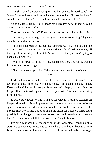"I wish I could answer your questions but you really need to talk to Shane." She walks over and rests a hand on my shoulder. "I know he doesn't want to hurt you but he's not sure how to handle his new reality."

"Is this about Jacob?" I ask, anger replacing my hurt. "Is that why he doesn't want to come back?"

"You know about Jacob?" Karen seems shocked that I know about him.

"Yes. Well, no. Are they, like, seeing each other or something?" I glance up at her, afraid of her answer.

The smile that breaks across her face is surprising. "No, Alex. It's not like that. You need to have a conversation with Shane. If I talk to him tonight, I'll try to get him to call you. I think he's just worried that you aren't going to handle his news well."

"What's his news? Is he sick?" God, could he be sick? The rolling cramps in my stomach start up again.

"I'll ask him to call you, Alex," she says again and walks out of the room.

\*\*\*\*

It's been four days since I went to talk to Karen and I haven't even gotten a text from Shane. I'm officially in panic mode. I can't stand this any longer. I've called in sick to work, dropped Stormy off with Steph, and am driving to Casper. If he wants to dump me, he needs to just do it. This state of wondering is killing me.

It was easy enough to find a listing for Greenly Training Kennels on Casper Mountain. It is an impressive ranch on over a hundred acres of open space. I can almost see why he would want to come back. It does seem like the perfect place for Shane. But, then again, he left it for a reason. What could possibly have changed in just a few weeks that could make him want to stay there? And not want to talk to me. Well, I'm going to find out.

I'm not sure if he'll be at the ranch but it's the only place I can think of to start. His parents may not want to tell me where he is, but if I have to park in front of their house until he shows up, I will. Either they will talk to me to get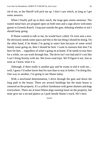rid of me, or the Sheriff will pick me up. I don't care which, as long as I get some answers.

When I finally pull up to their ranch, the large gate seems ominous. The rusted metal bars are propped open on both sites and a sign above welcomes guests to Greenly Ranch. I stop just outside the gate, debating whether or not I should keep going.

If Shane wanted to talk to me, he would have called. Or even sent a text. He obviously needs some space and this is the last thing I should be doing. On the other hand, if he thinks I'm going to reject him because of some weird family issue going on, then I should be here. I want to reassure him that I'm here for him... regardless of what's going on at home. If he needs to stay here for a while, we can work through that. The drive isn't too bad and it's not like I can't bring Stormy with me. She loves road trips. We'll figure it out. Just as soon as I know what *it* is.

Although, if there really is another guy and he wants to end it with me… well, I guess I'd rather know that for sure than to stay in limbo. I'm doing this. One way or another, I'm going to see Shane today.

With a newfound determination, I drive through the gate and down the long path to the house. There are several buildings but the main house is centered on the property. It's a yellow farmhouse with green shutters and dogs everywhere. There are at least fifteen dogs running loose on the property, but none give me a second glance as I park beside Shane's truck. He's here.

\*\*\*\*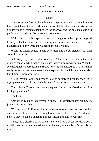## CHAPTER FOURTEEN

## *Shane*

The rest of that first weekend home was spent in Jacob's room talking to him or watching him sleep. Mom and I never left his side. At about six pm on Sunday night, a woman burst through the door wearing too much makeup and perfume that made me dizzy from across the room.

With a nurse closely inspecting her, the stranger scrubbed up and prepped to fully enter the room. Jacob woke up and instantly reached for me so I gathered him in my arms and waited to meet his visitor.

When she finally comes in, she eyes Mom and me suspiciously but then zones in on Jacob.

"Oh, baby boy, I'm so glad to see you." Her loud voice and wide arm gestures cause him to flinch as she rushes to take him from my arms. When he sees her quickly approaching, he starts to cry. It's the first time I've heard him really cry and it breaks my heart. I want to punch this bitch for scaring him but I still didn't know who she is.

"Hello, ma'am. Can I help you?" I ask as politely as I can manage while trying to soothe Jacob and shield his eyes from her scary clown makeup.

"Yes, please. You can hand me my nephew. I'm Amber Osterlund and I'm his legal guardian."

The fuck?

"Amber, it's so nice to meet you. You are Tim's sister, right?" Mom says, jumping in before I can.

"That's right." As if remembering to be in mourning over her dead brother and his wife, she chokes out a few sobs and reaches for a tissue. "I still can't believe they're gone. I talked to him just last month and he was fine."

Okay, she's clearly a sharp one. I want to tell her that car accidents don't usually manifest a month in advance but I bite my tongue. Mom's got this for now.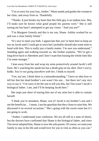"I'm so sorry for your loss, Amber." Mom stands and guides the woman to her chair, and away from us. Thankfully.

"Thanks. It just breaks my heart that this little guy is an orphan now. But, I'll make sure he knows what good people his parents were." She is still eyeing me but hasn't attempted to get any closer. "And you are?"

"I'm Margaret Greenly and this is my son, Shane. Ashley worked for us and was a close family friend."

"It's nice to meet you both. I appreciate that you've been here to keep an eye on Jacob until I could get in town but I probably should take some time to bond with him. This is really just a family matter. I'm sure you understand." Standing again and walking towards us, she further explains, "We've got a long drive back to Aberdeen and I don't want him fussing the whole time like I'm some stranger."

I lean away from her and wrap my arms protectively around Jacob's still form. He's watching her speak but has a death grip on my shirt. *Don't worry, kiddo. You're not going anywhere with her,* I think to myself.

"Um, ma'am, I think there is a misunderstanding." I have no idea how to tell her that her dead brother's son wasn't his son… but there isn't any nice way to say it. "I'm sorry to be the one to tell you this, but Tim wasn't Jacob's biological father. I am, and I'll be keeping Jacob here."

She stops just short of tearing him out of my arms but is able to contain herself.

"I think you're mistaken, Shane, was it? Jacob is my brother's son and I am the beneficiar… I mean, I am the guardian that they chose to raise him. We discussed it on several occasions." She's going with the sweet route but it's not going to work.

"Amber, I understand your confusion. We are all still in a state of shock, but the doctors have confirmed that Shane is the biological father, and since Tim never adopted him, Shane is now the sole parent. Of course, we want your family to stay in his life and would love for you to visit as often as you can."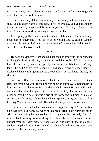Mom was always great at handling people. Said it was similar to working with dogs. The irony is not lost on me.

"Listen here, lady. I don't know who you are but if you think you can just show up and claim rights to this baby or his inheritance, you've got another thing coming. My lawyers will be all over your ass if you try to fight me on this," Amber says to Mom, waving a finger in her face.

Mom gently pulls Amber out to the nurse's station and asks for a family counselor to intervene. After an hour of yelling and swearing, Amber eventually leaves in a huff with the threat that she'd sue the hospital if they let Jacob leave with anyone but her.

\*\*\*\*

By noon on Monday, Mom and Dad had their attorney file the documents to change his birth certificate, and I was assured that Amber did not have any kind of case. Ashley's mom stopped by once to see Jacob but she didn't stay long. She and Ashley were never close and she seemed relieved when we explained that I was his guardian and she wouldn't "get stuck with the kid," as she said.

Jacob was off all the monitors and able to keep formula down. If his vitals remained strong, we would be taking him home on Tuesday. Dad stopped in to bring a change of clothes for Mom and to say hello to me. He was civil, but it was clear that Mom had given him the rest of the story. He was colder than usual but said he'd be setting up a crib at the house and had picked up a car seat for the ride home. I almost laughed at the picture of my big, gruff dad in his dirty Carhartt jeans and plaid flannel in the baby section at Walmart.

The entire time I sat in that hospital room, I kept thinking of Alex. Jacob's blue eyes turned a bright aqua when he laughed or cried. They reminded me of Alex and everything that we wouldn't have together. But, honestly, I wasn't resentful of how things were working out with Jacob. Sad for him and for me, but not resentful. After just a few hours of hanging out with the little guy, I couldn't help but love him. He seemed so vulnerable and alone. He didn't have anyone left but me and my parents.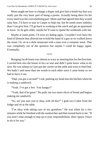Mom taught me how to change a diaper and give him a bottle but that was really just the very basic part of being a parent. Actually being there for his every need was the overwhelming part. Mom and Dad agreed that they would raise him. I'd have to stay in Casper to help out, but he needs more stability than I can give him. I'll go back to working at the ranch and get an apartment in town. As he gets older, maybe he'll want to spend the weekends with me.

Maybe at some point, I'll even try dating again. I wouldn't ever have the kind of lifestyle that allowed me to hold the hand of a guy as we walked down the street. Or, sit in a dark restaurant with a man over a romantic meal. That was completely out of the question but maybe I could be happy again. Eventually.

\*\*\*\*

Bringing Jacob home was almost as scary as meeting him for the first time. I carried him into the house in his car seat and didn't quite know what to do next. He was asleep so I just put the carrier on the table and went to find Dad. We hadn't said more than ten words to each other since I came home so we had to have it out.

"Dad, you got a second?" I ask, peeking my head into the kitchen where he is making a sandwich.

"Yeah. I've got a few. You hungry?"

"Yeah, that'd be great." He pulls out two more slices of bread and begins making me sandwich.

"So, are you sure you're okay with all this?" I grab two Cokes from the fridge and sit at the table.

"I'm okay with taking care of my grandson." He was silent for a few minutes while he finished with the sandwiches and then turned back to me. "If you aren't man enough to step up to your responsibilities, then I guess I have to do it for you."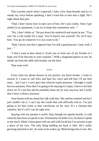This is pretty much what I expected. I take a few deep breaths and try to steady my voice before speaking. I don't want this to turn into a fight. He's right about that part.

"Dad, I don't know how to take care of him. He's just a baby. Once I get settled in an apartment, I can try to keep him sometimes and—"

"No, I don't think so." He put down his sandwich and stared at me. "You can't be a role model for a man. You're barely one yourself. No, he'll stay here. You go do whatever it is you want to do."

"Dad, I know you don't approve but I'm still a good person. I just, well, I just…"

"I don't want to hear about it. From you or from any of my friends so I hope you'll be discreet in your exploits." With a disgusted glance at me, he stands up from the table and stomps out the door.

That went well.

\*\*\*\*

Every time my phone buzzes in my pocket, my heart breaks. I want to answer it. I want to call Alex and hear his voice and tell him I'll see him soon… but I can't. I can't give him what he wants anymore. I thought I could but not anymore. Now that I'm going to be staying in Casper, I have to let him move on. It's not fair and he probably hates me by now anyway, but I really don't have a choice anymore.

Aunt Karen told me about her talk with him. She said he seemed sad but I just couldn't do it. I can't say the words that will officially end us. I'm just going to let him come to that conclusion on his own. It's a chicken-shit solution, but it's all I can do right now.

Staying with my parents is awful. Dad, though not openly hostile, is cold when he does have to speak to me. Fortunately for both of us, he doesn't speak to me much. Mom's been great with me and with Jacob but I'm anxious to get a place of my own. The only thing holding me back is Jake. He's really growing attached to me. As soon as he wakes up, Mom brings him to me. She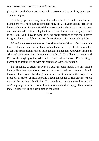places him on the bed next to me and he pokes my face until my eyes open. Then he laughs.

That laugh gets me every time. I wonder what he'll think when I'm not living here. Will he be just as content to hang out with Mom all day? He loves being with her but I have noticed that as soon as I walk into a room, his eyes are on me the whole time. If I get within ten feet of him, his arms fly up for me to take him. And I have to admit to being pretty attached to him too. I never imagined being a dad, but I'm already considering him in everything I do.

When I want to run to the store, I consider whether Mom or Dad can watch him or if I should take him with me. When I take him out, I check the weather to see if it's supposed to rain so I can pack his diaper bag. And when I think of Alex and want to call him, I remember that I can't. That I have a son now and I'm not the single guy that Alex fell in love with in Denver. I'm the single parent of an infant, living with his parents on Casper Mountain.

Not speaking to Alex for over a week has been tough. I let my phone battery die a few days ago just so I don't have to feel the pain every time it buzzes. I hate myself for doing this to him but it has to be this way. He's probably already over me. Maybe he's been going back to The Unicorn to pick up guys that are actually eligible. The thought makes my stomach turn but I can't begrudge him that. I want him to move on and be happy. He deserves that. He deserves all the happiness in the world.

\*\*\*\*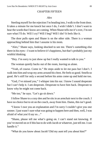## CHAPTER FIFTEEN

## *Alex*

Steeling myself for the rejection I'm heading into, I walk to the front door. It takes a minute for me knock but once I do, I wish I didn't. I don't want to hear the words that I know are coming. When Shane tells me it's over, I'm not sure what I'll do. Will I cry? Will I beg? Will I die? It feels like it.

The door pulls open and Shane is on the other side. There is a woman approaching behind him that I assume is his mom.

"Alex," Shane says, looking shocked to see me. There's something else there in his eyes—I want to believe it's happiness, but that's probably just my wishful thinking.

"Hey. I'm sorry to just show up but I really wanted to talk to you."

The woman quietly backs out of the room, leaving us alone.

"Yeah, of course. Come in." He steps aside to let me pass but I don't. I walk into him and wrap my arms around his chest. He feels so good. Smells so good. He's stiff for only a second before his arms come up and hold me too.

"God, I've missed you," I whisper into his ear. I know I sound desperate but I can't help it. I am desperate. Desperate to have him back. Desperate to know why he might not come back.

"Me too," he says. "Let's go sit down."

I follow Shane to a cozy den and he sits in an armchair next to the couch. I have no choice but to sit on the couch, away from him. Damn, this isn't good.

"I know I owe you an explanation and I'm sorry I couldn't give you one sooner. I just wasn't sure what was going to happen here and then, well, I was afraid of what you'd say so…"

"Shane, please tell me what's going on. I can't stand not knowing. If you've moved on or if this has to do with Jacob or whatever, just tell me. I can handle it"

"What do you know about Jacob? Did my aunt tell you about him?"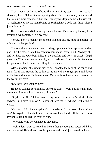That is not what I want to hear. The rolling of my stomach increases as I shake my head. "I don't know anything about him." I school my features and try to sound more composed than I feel but my words just come out pissed off. "I just heard you say his name but no one will tell me a goddamn thing. Please just spit it out."

He looks away and takes a deep breath. I know it's serious by the way he's avoiding eye contact. "He's my son."

"Your… son?" I feel like the room is spinning and my mind is jumbled. Is this actually happening?

"I was with a woman one time and she got pregnant. It was planned, on her part. She threatened to tell my parents about me if I didn't do it. Anyway, she and her husband were both killed in the accident and now I'm Jacob's legal guardian." His words come quickly, all in one breath. He lowers his face into his palms and holds there, unwilling to look at me.

After a moment of taking in his words, I scoot to the edge of the couch and reach for Shane. Tracing the outline of his ear with my fingertips, I trail down to his jaw and nudge his face upward. Once he is looking at me, I recognize the fear in his eyes.

"So, there isn't another guy?"

He looks stunned for a minute before he grins. "Well, not like that. But, there is a nine-month-old little guy, I guess."

"So, do you still…" I don't want to say the words because I'm afraid of his answer. But I have to know. "Do you still love me?" I whisper with a shaky voice.

"Of course, I do. But everything's changed now. I have to stay here and we can't be together." He chokes on that last word and I slide off the couch onto my knees, landing right in front of him.

"Why not? Why do you have to stay here?"

"Well, I don't want to leave him here. I thought about it, I swear I did, but we've bonded. He's already lost his parents and I can't just leave him here…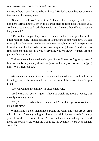no matter how much I want to be with you." He looks away but not before a tear escapes his watery eyes.

"Shane." He still won't look at me. "Shane, I'd never expect you to leave him here. Bring him to Denver. It's a great place to raise kids. I'll help you. And Karen said you still had a home with her. I'm sure they'd love to have a baby around."

"It's not that simple. Daycare is expensive and we can't just live in her guest room forever. I'm not capable of taking care of him right now. If I can save up for a few years, maybe we can move back, but I wouldn't expect you to wait around for that. Who knows how long it might take. You deserve to find someone that can give you everything you've always wanted. Be the partner that you need."

"I already have. I want to be with you, Shane. Please don't give up on us." My eyes are filling and my throat stings as I'm literally on my knees begging him. "We'll figure it out."

\*\*\*\*

After twenty minutes of trying to convince Shane that we could find a way to be together, we heard a small cry from the back of the house. Shane's eyes lit up.

"Do you want to meet him?" he asks tentatively.

"Hell yeah. Oh, sorry. I guess I have to watch my mouth." Oops, I'm already screwing this up.

"Why?" He seemed confused for a second. "Oh, shit. I guess so. Wait here. I'll go get him."

While Shane is gone, I take a look around the room. The walls are covered with photos of Shane growing up. There is an eight by ten portrait for every year of his life. He was a cute kid. Always had short hair and big ears… and those big brown eyes. When he was little, his eyelashes were even longer. Adorable.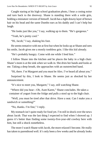Caught staring at his high school graduation photo, I hear a cooing noise and turn back to the doorway. Shane is standing there with a wide grin, holding a miniature version of himself. Jacob has a light downy layer of brown hair on his head and the same Dumbo ears as his daddy and I can't help but laugh.

"He looks just like you," I say, walking up to them. "He's gorgeous."

"Yeah, he's pretty cool."

"Hi, Jacob," I say, shaking his foot.

He seems tentative with me at first but when he looks up at Shane and sees his smile, Jacob gives me a mostly toothless grin. I like this kid already.

"He's probably hungry. Come with me while I feed him."

I follow Shane into the kitchen and he places the baby in a high chair. Shane's mom is at the sink when we walk in. She dries her hands and looks at me. Taking a deep breath, she approaches with an outstretched hand.

"Hi, there. I'm Margaret and you must be Alex. I've heard all about you."

Surprised by this, I look to Shane. He seems just as shocked by her announcement.

"It's nice to meet you, Margaret," I say, still watching Shane.

"Where did you hear—Oh, Aunt Karen," Shane concludes. He takes a container of yogurt from the fridge and pulls a stool up to the high chair.

"Well, you must be tired after that drive. Have a seat. Can I make you a sandwich or something?"

"No, thanks. I'm fine," I reply.

My stomach isn't quite ready for food yet. I'm still in shock over the news about Jacob. That was the last thing I expected to find when I showed up. I guess it's better than finding some twenty-five-year-old cowboy here with him, but still a shock nonetheless.

The more I watch Shane with Jacob, the more relaxed I become. He really has taken to parenthood well. It's only been a few weeks and he already looks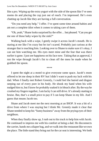like a pro. Wiping up the extra yogurt with the side of the spoon like I've seen moms do and placing the cup just out of reach. I'm impressed. He's even chatting up Jacob like they are having a full conversation.

"Do you need any help," I offer. I've spent some time around babies and am not a complete idiot when it comes to taking care of them.

"Oh, yeah," Shane looks surprised by the offer… but pleased. "Can you get me one of those baby wipes by the sink?"

Walking back with a wipe, I gently swipe it across Jacob's mouth. He is staring at me like I'm crazy but he isn't scared. Probably just curious at the stranger that is touching him. Looking over to Shane to make sure it's okay, I can see him watching me. His eyes meet mine and the fear that was there earlier is gone. I just see happiness on his face now. Taking that as approval, I run the wipe through Jacob's fist to clean off the mess he made when he grabbed the spoon.

\*\*\*\*

I spent the night at a motel to give everyone some space. Jacob's mom offered to let me sleep in their RV but I didn't want to push my luck with his dad. When I finally met Robert Greenly, I could feel the hatred and disgust seeping out of every pore in his body. He shook my hand when his wife nudged him to, but I know he probably soaked it in bleach after. By the way he crushed my fingers together, I am lucky I can still drive. It's already starting to bruise. But, that's a small price to pay if I can keep Shane in my life. And I guess that means Jacob too.

Shane and Jacob meet me the next morning at an IHOP. It was a bit of a drive from where I was staying but I think Mr. Greenly made it clear that Shane needed to keep his "funny business" away from the prying eyes of their neighbors.

When they finally show up, I rush out to his truck to help him with Jacob. He continued to impress me with his comfort at being a dad. He disconnects the carrier, hands me a diaper bag, and we walk into the restaurant like we own the place. The little stand they bring out for the car seat is interesting. We both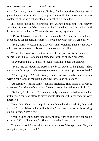reach for it every time someone walks by, afraid it would topple over. But, I guess they are sturdier than they appear because it didn't move and he was content to chew on a rubber block for most of our breakfast.

Just before the check is dropped off, Shane's phone rings. I'll forever associate his phone with bad memories, but I try to keep the panic at bay until he looks at the caller ID. When his brows furrow, my stomach turns.

"It's local. No one around here has this number." Looking at me and back at Jacob, he scoots back his chair. "Are you okay with him if I grab this?"

"Yeah, sure." Watching the baby was fine. Watching Shane walk away with that damn phone to his ear took ten years off my life.

When Shane returns ten minutes later, his expression is unreadable. He seems to be in a state of shock, again, and I want to puke. Now what?

"Is everything okay?" I ask, not really wanting to hear the answer.

"Yeah." He sits down and stares at the black screen of his phone. "That was my dad's lawyer. He's been trying to reach me but my phone was dead."

"What's going on?" Instinctively, I reach across the table and hold his wrist. Shane looks at me with a shocked expression on his face.

"Apparently, Tim and Ashley had life insurance. They left it all to Jacob, of course. But, since he's a minor, I have access to it to take care of him."

"Seriously? Is it… a lot?" I'm not actually concerned with the amount but if it means Shane can afford to move back to Denver with Jacob then I'm very interested.

"Yeah. It is. They each had policies worth two hundred and fifty thousand dollars. So, Jacob has half a million bucks." He looks over to Jacob, sucking on his fingers. "He's rich."

"Well, he better be smart, since now he can afford to go to any college he wants to." I'm still waiting for Shane to say what I need to hear.

"I guess so. And, I guess that means day care won't be a problem. Shit, we can get a nanny if we want."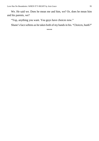We. He said we. Does he mean me and him, we? Or, does he mean him and his parents, we?

"Yup, anything you want. You guys have choices now."

Shane's face softens as he takes both of my hands in his. "Choices, hunh?"

\*\*\*\*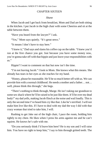### CHAPTER SIXTEEN

#### *Shane*

When Jacob and I get back from breakfast, Mom and Dad are both sitting in the kitchen. I put Jacob in the high chair with some Cheerios and sit at the table between them.

"Have you heard from the lawyer?" I ask.

"Yes," Mom says quietly. "It's great news."

"It means I don't have to stay here."

"I knew it," Dad says and slams his coffee cup on the table. "I knew you'd run at the first chance you got. Just because you have some money now, you're gonna take off with that hippie and just leave your responsibilities with  $\overline{\mathbf{u}}$   $\mathbf{s}$ ."

Hippie? I want to comment on that but now isn't the time.

"I'm not leaving Jacob." I look to Mom. She knows what this means. She already has tears in her eyes as she reaches for my hand.

"Honey, please be reasonable. He'll be so much better off with us. We can provide him with a normal childhood. He needs a mother and a father… not… well, please think this through," she begs.

"There's nothing to think through, Marge. He isn't taking our grandson to some sex shack where he'll be raised to be just like them. It'll be over my dead body!" my dad yells, making Jacob flinch at the noise and wail loudly. This is only the second time I've heard him cry like that. Like he's terrified. I will not make him live like this. If I have to deal with my dad the way I did with that crazy woman that tried to take him, I will.

Rushing to get Jake out of the high chair, I pace the room, holding him tightly to my chest. He likes when I press his arms against me and he can't squirm. He knows he's safe with me.

"Do you seriously think I'd leave him here? He is my son and I will raise him. You have no right to keep him," I say to him through gritted teeth. The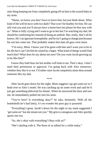only thing keeping me from completely going off on him is the scared baby in my arms.

"Shane, we know you don't have to leave him, but just think about. What kind of life will he have with two dads? That won't be healthy for him. He can still visit you and you'll always have a home here but please let him stay with us." Mom is fully crying and I want to go to her but I'm watching my dad. He should be comforting her instead of being an asshole. But, really, that's all he knows. He's an ignorant homophobe, and he isn't going to change just because his son has come out. That probably makes him hate all gays even more.

"I'm sorry, Mom. I know you'd be great with him and I want you to be in his life but I can't let him be raised by a bigot. What kind of things would Dad teach him? What does he say about me now? Do you want Jacob growing up to be like him?"

I know they both hear me but neither will look to me. That's okay. I don't need their permission or approval. I'm going back with Alex tomorrow, whether they like it or not. I'd rather raise Jacob completely alone than around someone like my dad.

\*\*\*\*

After Jacob goes down for the night, Mom suggests I go get some air so I head over to Alex's motel. He was catching up on some work and said he'd just get something delivered for dinner. When he answered the door and saw me, he immediately pulled me into his arms.

"You're here? Is everything okay?" he asks, hesitantly. With all the bombshells he's had lately, it's no wonder the poor guy is paranoid.

"Everything's great. Jacob's down for the night so my mom suggested I 'get some air' but she meant see you." My grin is contagious and Alex quickly sports one too.

"So, she's okay with everything? Okay with us?"

"She's dealing with it. The three of us talked for a while today."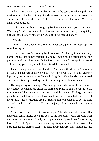"Oh?" Alex turns off the TV that was on in the background and pulls me next to him on the bed. Sitting directly across from a mirror and dresser, we are looking at each other through the reflection across the room. We look damn good together.

"I told them Jacob and I are going back to Denver with you tomorrow." Watching Alex's reaction without turning toward him is funny. He quickly turns his torso to face me, a wide smile forming across his face.

"You did?"

"I did." I finally face him. We are practically giddy. He hops up and straddles my lap.

"Tomorrow? You're coming back tomorrow?" His right hand cups my cheek and his left combs through my hair. Having been sidetracked for the past few weeks, it's long enough that he can grip it. His fingertips leave a trail of heat every place they touch. I've missed this so much.

I nod, leaning forward to meet his lips. Alex's mouth is hungry. The weeks of fear and loneliness and anxiety pour from him in waves. His hands grab my hips and yank me lower so I'm flat on the large bed. His whole body is pressed onto mine, his weight holding me still, securing me with his embrace.

His tongue explores my lips. Moistening me with his warmth and entering me eagerly. My hands are under his shirt and trying to pull it over his head, even though I don't want to lose contact with his mouth. I'd forgotten how good he tastes. I don't ever want to move from this position but I need to feel more skin. With a frustrated groan, I release him long enough to get his shirt off and then he's back on me. Kissing my jaw, licking my neck, sucking my earlobe.

"I need you, Shane. Don't leave me again," he whispers into my ear. His hot breath sends tingles down my body to the tips of my toes. Fumbling with the button on his shorts, I finally get it open and the zipper down. Sweet Jesus, has he gotten bigger? His dick is sticking straight up out of his boxers. Its beautiful head is pressed against his belly and seeping for me. Waiting for me.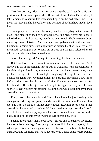"You've got me, Alex. I'm not going anywhere." I gently shift our positions so I can stand up and slip off the rest of my clothes. Once naked, I take a moment to admire this man spread open on the bed before me. He's given me more than he'll ever know and I want to show him how much I love him.

Taking a quick look around the room, I see his toiletry bag on the dresser. I grab it and place it on the bed next to us. Lowering myself over his thighs, I take the head of his dick into my mouth and gently suck. The bittersweet drops make my own cock twitch. Alex whimpers and grabs my hair with one hand, holding me against him. With a tight suction around his shaft, I slowly lower my mouth, sucking as I go. When I am as deep as I can go, I release the seal with a pop. Alex shudders beneath me.

"God, that feels good," he says to the ceiling, his head thrown back.

But I want to see him. I want to watch him when I make him come. So I slowly pull off of his cock and leave a trail of wet kisses from his pelvis, up to his right nipple. I swirl my tongue around it to tighten it even more, then gently close my teeth over it. Just tight enough to get his hips to buck into me, but not enough to hurt. My tongue flicks the beautiful brown nub a few times before sliding across his chest to the left side. Knowing what to expect, he lifts his shoulder off the bed just an inch to get his nipple into my mouth even sooner. I eagerly accept his offering, sucking hard, while wrapping my hands around his waist to cup his ass.

Every part of his body is hard. He's like a live wire just buzzing with anticipation. Moving my lips up to his hot mouth, I devour him. I'm almost as close as I can be and it's still not close enough. Reaching for the bag, I feel around for the lube and a condom. We've done this enough now that I don't need to look. I couldn't pry my mouth away if I wanted to so I tear open the package and roll it onto myself without ever opening my eyes.

Feeling more ready than I ever have, I lift up and sit back on my heels, between Alex's bent legs. Slowly applying a handful of lube to myself, I lock Alex's gaze. Running my slippery hand over his cock a few times, he bucks up again, begging for more. But, we're not ready yet. This is going to last a while.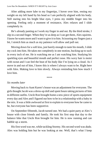After adding more lube to my fingertips, I hover over him, resting my weight on my left hand by his head so I am perfectly aligned with his body. Still staring into his bright blue eyes, I press my middle finger into his opening. Feeling only a moment of resistance, Alex relaxes and I slide completely in.

He's already panting as I work my finger in and out. By the third stroke, I slip in a second finger. When they're as deep as I can get them, Alex squirms. I know he wants more and I want to give it to him. Scissoring my fingers just a bit, I stretch him as much as my patience will allow and pull out.

Moving down for a soft kiss, just barely enough to taste his mouth, I slide my cock into him. He takes me completely in one motion, bucking up to suck in every inch of me. He is watching me as I am watching him. Studying his sparkling eyes and beautiful mouth and perfect nose. His wavy hair is moist with sweat and I can feel the heat of his body like I'm lying on a cloud. As I move in and out of him, I know this is where I always want to be. Right here with Alex. Making love to him slowly. Always reminding him how much I love him.

\*\*\*\*

#### *Six months later*

Moving back to Aunt Karen's house was an adjustment for everyone. The girls thought Jacob was a dress-up doll and spent hours taking pictures of him in different outfits. Uncle Ron brought home a new piece of sports equipment every day and Alex and I figured out how to be in a relationship with a baby in the mix. It was a little awkward at first to explain to everyone how he came to be, but everyone has been supportive.

On September fifteenth, Jacob turned one. We had a quiet party at Alex's house with close friends and family. He took his first step that day to the balance bike that Uncle Ron brought for him. He is now running and can babble up a storm.

His first word was *me*, while tackling Stormy. His second word was *dada*. Alex was holding him but he was looking at me. Well, that's what I keep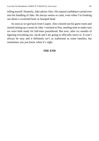telling myself. Honestly, Jake adores Alex. His natural confidence carried over into his handling of Jake. He always seems so calm, even when I'm freaking out about a scratched knee or bumped head.

As soon as we got back from Casper, Alex cleared out his guest room and started setting up a room for Jake. I resisted at first, needing time to make sure we were both ready for full-time parenthood. But now, after six months of figuring everything out, Jacob and I are going to officially move in. It won't always be easy and it definitely isn't as traditional as some families, but sometimes you just know when it's right.

## **THE END**